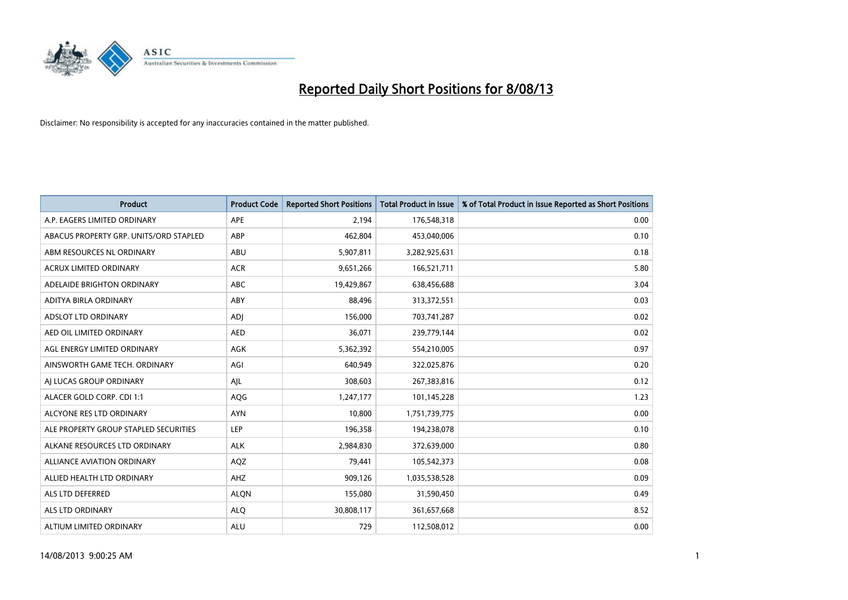

| <b>Product</b>                         | <b>Product Code</b> | <b>Reported Short Positions</b> | <b>Total Product in Issue</b> | % of Total Product in Issue Reported as Short Positions |
|----------------------------------------|---------------------|---------------------------------|-------------------------------|---------------------------------------------------------|
| A.P. EAGERS LIMITED ORDINARY           | APE                 | 2,194                           | 176,548,318                   | 0.00                                                    |
| ABACUS PROPERTY GRP. UNITS/ORD STAPLED | ABP                 | 462,804                         | 453,040,006                   | 0.10                                                    |
| ABM RESOURCES NL ORDINARY              | ABU                 | 5,907,811                       | 3,282,925,631                 | 0.18                                                    |
| ACRUX LIMITED ORDINARY                 | <b>ACR</b>          | 9,651,266                       | 166,521,711                   | 5.80                                                    |
| ADELAIDE BRIGHTON ORDINARY             | <b>ABC</b>          | 19,429,867                      | 638,456,688                   | 3.04                                                    |
| ADITYA BIRLA ORDINARY                  | ABY                 | 88,496                          | 313,372,551                   | 0.03                                                    |
| ADSLOT LTD ORDINARY                    | <b>ADJ</b>          | 156,000                         | 703,741,287                   | 0.02                                                    |
| AED OIL LIMITED ORDINARY               | <b>AED</b>          | 36,071                          | 239,779,144                   | 0.02                                                    |
| AGL ENERGY LIMITED ORDINARY            | AGK                 | 5,362,392                       | 554,210,005                   | 0.97                                                    |
| AINSWORTH GAME TECH. ORDINARY          | AGI                 | 640,949                         | 322,025,876                   | 0.20                                                    |
| AJ LUCAS GROUP ORDINARY                | AJL                 | 308,603                         | 267,383,816                   | 0.12                                                    |
| ALACER GOLD CORP. CDI 1:1              | AQG                 | 1,247,177                       | 101,145,228                   | 1.23                                                    |
| ALCYONE RES LTD ORDINARY               | <b>AYN</b>          | 10,800                          | 1,751,739,775                 | 0.00                                                    |
| ALE PROPERTY GROUP STAPLED SECURITIES  | LEP                 | 196,358                         | 194,238,078                   | 0.10                                                    |
| ALKANE RESOURCES LTD ORDINARY          | ALK                 | 2,984,830                       | 372,639,000                   | 0.80                                                    |
| ALLIANCE AVIATION ORDINARY             | AQZ                 | 79,441                          | 105,542,373                   | 0.08                                                    |
| ALLIED HEALTH LTD ORDINARY             | AHZ                 | 909,126                         | 1,035,538,528                 | 0.09                                                    |
| ALS LTD DEFERRED                       | <b>ALQN</b>         | 155,080                         | 31,590,450                    | 0.49                                                    |
| ALS LTD ORDINARY                       | <b>ALQ</b>          | 30,808,117                      | 361,657,668                   | 8.52                                                    |
| ALTIUM LIMITED ORDINARY                | ALU                 | 729                             | 112,508,012                   | 0.00                                                    |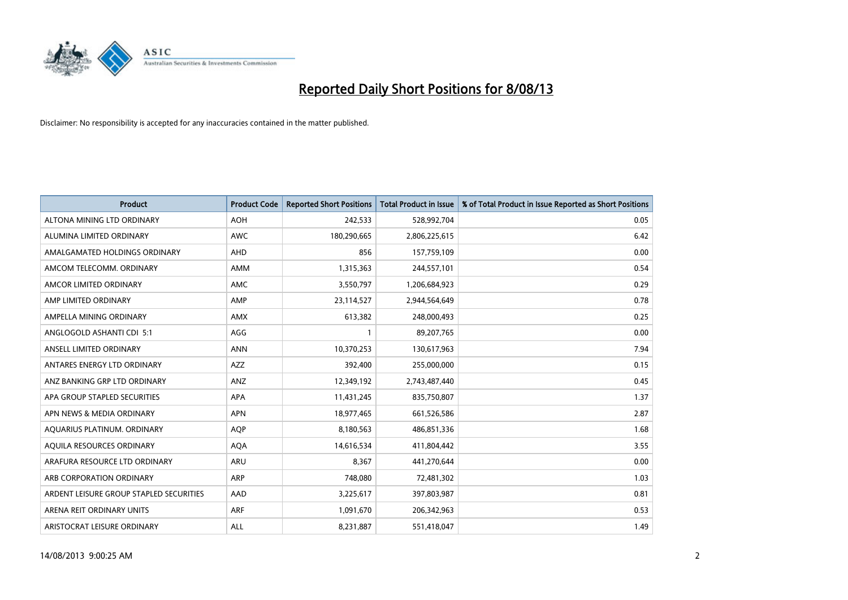

| <b>Product</b>                          | <b>Product Code</b> | <b>Reported Short Positions</b> | <b>Total Product in Issue</b> | % of Total Product in Issue Reported as Short Positions |
|-----------------------------------------|---------------------|---------------------------------|-------------------------------|---------------------------------------------------------|
| ALTONA MINING LTD ORDINARY              | <b>AOH</b>          | 242,533                         | 528,992,704                   | 0.05                                                    |
| ALUMINA LIMITED ORDINARY                | <b>AWC</b>          | 180,290,665                     | 2,806,225,615                 | 6.42                                                    |
| AMALGAMATED HOLDINGS ORDINARY           | AHD                 | 856                             | 157,759,109                   | 0.00                                                    |
| AMCOM TELECOMM. ORDINARY                | AMM                 | 1,315,363                       | 244,557,101                   | 0.54                                                    |
| AMCOR LIMITED ORDINARY                  | AMC                 | 3,550,797                       | 1,206,684,923                 | 0.29                                                    |
| AMP LIMITED ORDINARY                    | AMP                 | 23,114,527                      | 2,944,564,649                 | 0.78                                                    |
| AMPELLA MINING ORDINARY                 | <b>AMX</b>          | 613,382                         | 248,000,493                   | 0.25                                                    |
| ANGLOGOLD ASHANTI CDI 5:1               | AGG                 | $\mathbf{1}$                    | 89,207,765                    | 0.00                                                    |
| ANSELL LIMITED ORDINARY                 | <b>ANN</b>          | 10,370,253                      | 130,617,963                   | 7.94                                                    |
| ANTARES ENERGY LTD ORDINARY             | <b>AZZ</b>          | 392,400                         | 255,000,000                   | 0.15                                                    |
| ANZ BANKING GRP LTD ORDINARY            | ANZ                 | 12,349,192                      | 2,743,487,440                 | 0.45                                                    |
| APA GROUP STAPLED SECURITIES            | APA                 | 11,431,245                      | 835,750,807                   | 1.37                                                    |
| APN NEWS & MEDIA ORDINARY               | <b>APN</b>          | 18,977,465                      | 661,526,586                   | 2.87                                                    |
| AQUARIUS PLATINUM. ORDINARY             | <b>AOP</b>          | 8,180,563                       | 486,851,336                   | 1.68                                                    |
| AQUILA RESOURCES ORDINARY               | <b>AQA</b>          | 14,616,534                      | 411,804,442                   | 3.55                                                    |
| ARAFURA RESOURCE LTD ORDINARY           | ARU                 | 8,367                           | 441,270,644                   | 0.00                                                    |
| ARB CORPORATION ORDINARY                | ARP                 | 748,080                         | 72,481,302                    | 1.03                                                    |
| ARDENT LEISURE GROUP STAPLED SECURITIES | AAD                 | 3,225,617                       | 397,803,987                   | 0.81                                                    |
| ARENA REIT ORDINARY UNITS               | <b>ARF</b>          | 1,091,670                       | 206,342,963                   | 0.53                                                    |
| ARISTOCRAT LEISURE ORDINARY             | ALL                 | 8,231,887                       | 551,418,047                   | 1.49                                                    |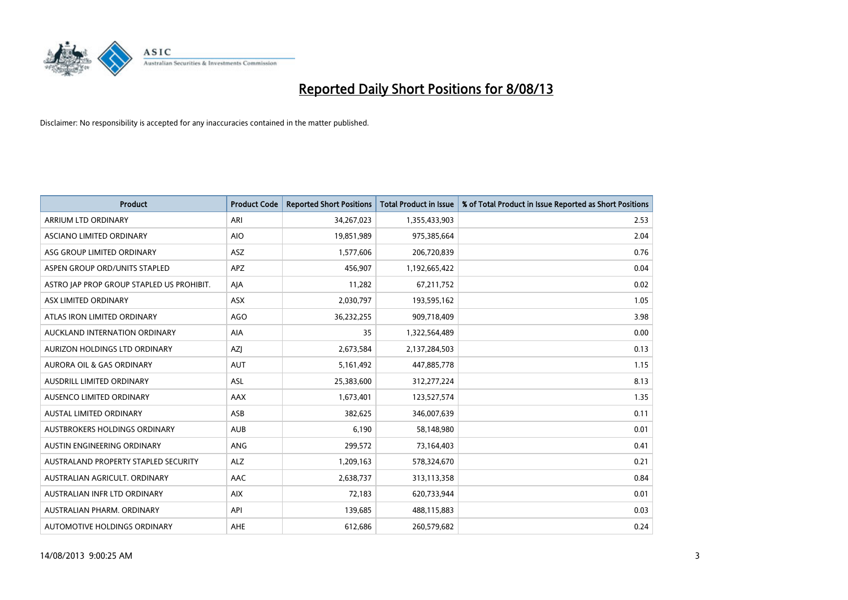

| <b>Product</b>                            | <b>Product Code</b> | <b>Reported Short Positions</b> | <b>Total Product in Issue</b> | % of Total Product in Issue Reported as Short Positions |
|-------------------------------------------|---------------------|---------------------------------|-------------------------------|---------------------------------------------------------|
| ARRIUM LTD ORDINARY                       | ARI                 | 34,267,023                      | 1,355,433,903                 | 2.53                                                    |
| ASCIANO LIMITED ORDINARY                  | <b>AIO</b>          | 19,851,989                      | 975,385,664                   | 2.04                                                    |
| ASG GROUP LIMITED ORDINARY                | ASZ                 | 1,577,606                       | 206,720,839                   | 0.76                                                    |
| ASPEN GROUP ORD/UNITS STAPLED             | APZ                 | 456,907                         | 1,192,665,422                 | 0.04                                                    |
| ASTRO JAP PROP GROUP STAPLED US PROHIBIT. | AJA                 | 11,282                          | 67,211,752                    | 0.02                                                    |
| ASX LIMITED ORDINARY                      | ASX                 | 2,030,797                       | 193,595,162                   | 1.05                                                    |
| ATLAS IRON LIMITED ORDINARY               | <b>AGO</b>          | 36,232,255                      | 909,718,409                   | 3.98                                                    |
| AUCKLAND INTERNATION ORDINARY             | AIA                 | 35                              | 1,322,564,489                 | 0.00                                                    |
| AURIZON HOLDINGS LTD ORDINARY             | <b>AZI</b>          | 2,673,584                       | 2,137,284,503                 | 0.13                                                    |
| <b>AURORA OIL &amp; GAS ORDINARY</b>      | <b>AUT</b>          | 5,161,492                       | 447,885,778                   | 1.15                                                    |
| AUSDRILL LIMITED ORDINARY                 | <b>ASL</b>          | 25,383,600                      | 312,277,224                   | 8.13                                                    |
| AUSENCO LIMITED ORDINARY                  | AAX                 | 1,673,401                       | 123,527,574                   | 1.35                                                    |
| <b>AUSTAL LIMITED ORDINARY</b>            | ASB                 | 382,625                         | 346,007,639                   | 0.11                                                    |
| AUSTBROKERS HOLDINGS ORDINARY             | <b>AUB</b>          | 6,190                           | 58,148,980                    | 0.01                                                    |
| AUSTIN ENGINEERING ORDINARY               | ANG                 | 299,572                         | 73,164,403                    | 0.41                                                    |
| AUSTRALAND PROPERTY STAPLED SECURITY      | <b>ALZ</b>          | 1,209,163                       | 578,324,670                   | 0.21                                                    |
| AUSTRALIAN AGRICULT, ORDINARY             | AAC                 | 2,638,737                       | 313,113,358                   | 0.84                                                    |
| AUSTRALIAN INFR LTD ORDINARY              | <b>AIX</b>          | 72,183                          | 620,733,944                   | 0.01                                                    |
| AUSTRALIAN PHARM, ORDINARY                | API                 | 139,685                         | 488,115,883                   | 0.03                                                    |
| AUTOMOTIVE HOLDINGS ORDINARY              | AHE                 | 612,686                         | 260,579,682                   | 0.24                                                    |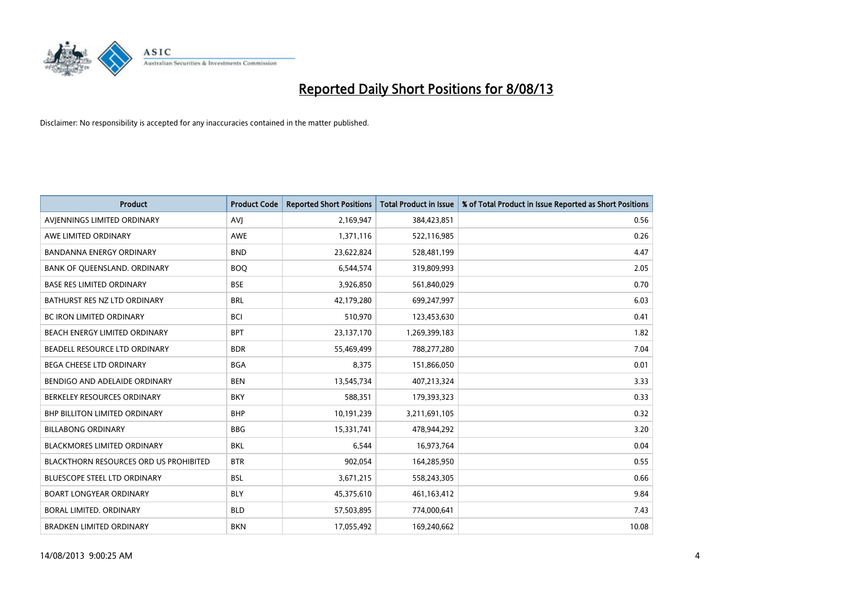

| <b>Product</b>                         | <b>Product Code</b> | <b>Reported Short Positions</b> | <b>Total Product in Issue</b> | % of Total Product in Issue Reported as Short Positions |
|----------------------------------------|---------------------|---------------------------------|-------------------------------|---------------------------------------------------------|
| AVIENNINGS LIMITED ORDINARY            | <b>AVJ</b>          | 2,169,947                       | 384,423,851                   | 0.56                                                    |
| AWE LIMITED ORDINARY                   | <b>AWE</b>          | 1,371,116                       | 522,116,985                   | 0.26                                                    |
| <b>BANDANNA ENERGY ORDINARY</b>        | <b>BND</b>          | 23,622,824                      | 528,481,199                   | 4.47                                                    |
| BANK OF QUEENSLAND. ORDINARY           | <b>BOQ</b>          | 6,544,574                       | 319,809,993                   | 2.05                                                    |
| <b>BASE RES LIMITED ORDINARY</b>       | <b>BSE</b>          | 3,926,850                       | 561,840,029                   | 0.70                                                    |
| BATHURST RES NZ LTD ORDINARY           | <b>BRL</b>          | 42,179,280                      | 699,247,997                   | 6.03                                                    |
| <b>BC IRON LIMITED ORDINARY</b>        | <b>BCI</b>          | 510,970                         | 123,453,630                   | 0.41                                                    |
| BEACH ENERGY LIMITED ORDINARY          | <b>BPT</b>          | 23,137,170                      | 1,269,399,183                 | 1.82                                                    |
| BEADELL RESOURCE LTD ORDINARY          | <b>BDR</b>          | 55,469,499                      | 788,277,280                   | 7.04                                                    |
| <b>BEGA CHEESE LTD ORDINARY</b>        | <b>BGA</b>          | 8,375                           | 151,866,050                   | 0.01                                                    |
| BENDIGO AND ADELAIDE ORDINARY          | <b>BEN</b>          | 13,545,734                      | 407,213,324                   | 3.33                                                    |
| BERKELEY RESOURCES ORDINARY            | <b>BKY</b>          | 588,351                         | 179,393,323                   | 0.33                                                    |
| <b>BHP BILLITON LIMITED ORDINARY</b>   | <b>BHP</b>          | 10,191,239                      | 3,211,691,105                 | 0.32                                                    |
| <b>BILLABONG ORDINARY</b>              | <b>BBG</b>          | 15,331,741                      | 478,944,292                   | 3.20                                                    |
| <b>BLACKMORES LIMITED ORDINARY</b>     | <b>BKL</b>          | 6,544                           | 16,973,764                    | 0.04                                                    |
| BLACKTHORN RESOURCES ORD US PROHIBITED | <b>BTR</b>          | 902,054                         | 164,285,950                   | 0.55                                                    |
| BLUESCOPE STEEL LTD ORDINARY           | <b>BSL</b>          | 3,671,215                       | 558,243,305                   | 0.66                                                    |
| <b>BOART LONGYEAR ORDINARY</b>         | <b>BLY</b>          | 45,375,610                      | 461,163,412                   | 9.84                                                    |
| <b>BORAL LIMITED, ORDINARY</b>         | <b>BLD</b>          | 57,503,895                      | 774,000,641                   | 7.43                                                    |
| <b>BRADKEN LIMITED ORDINARY</b>        | <b>BKN</b>          | 17,055,492                      | 169,240,662                   | 10.08                                                   |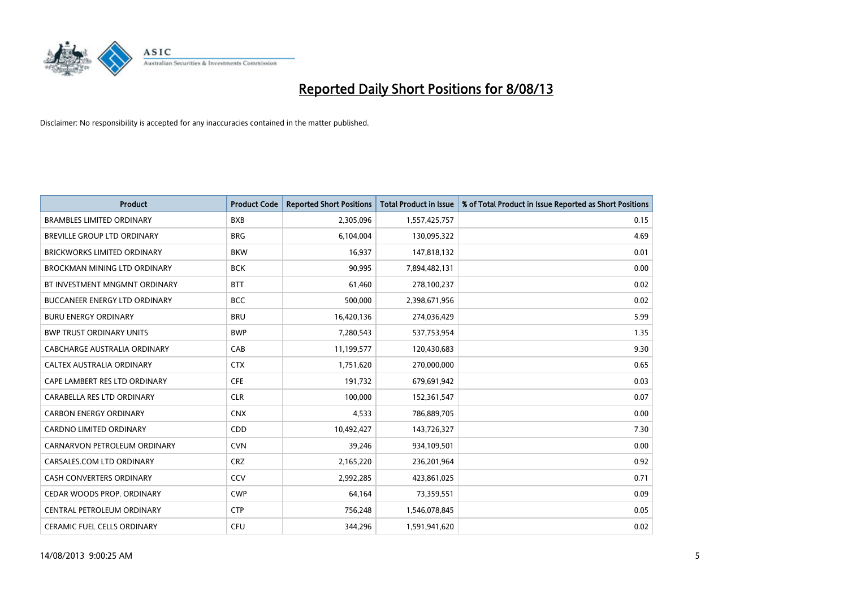

| <b>Product</b>                       | <b>Product Code</b> | <b>Reported Short Positions</b> | <b>Total Product in Issue</b> | % of Total Product in Issue Reported as Short Positions |
|--------------------------------------|---------------------|---------------------------------|-------------------------------|---------------------------------------------------------|
| <b>BRAMBLES LIMITED ORDINARY</b>     | <b>BXB</b>          | 2,305,096                       | 1,557,425,757                 | 0.15                                                    |
| BREVILLE GROUP LTD ORDINARY          | <b>BRG</b>          | 6,104,004                       | 130,095,322                   | 4.69                                                    |
| <b>BRICKWORKS LIMITED ORDINARY</b>   | <b>BKW</b>          | 16,937                          | 147,818,132                   | 0.01                                                    |
| BROCKMAN MINING LTD ORDINARY         | <b>BCK</b>          | 90,995                          | 7,894,482,131                 | 0.00                                                    |
| BT INVESTMENT MNGMNT ORDINARY        | <b>BTT</b>          | 61,460                          | 278,100,237                   | 0.02                                                    |
| <b>BUCCANEER ENERGY LTD ORDINARY</b> | <b>BCC</b>          | 500,000                         | 2,398,671,956                 | 0.02                                                    |
| <b>BURU ENERGY ORDINARY</b>          | <b>BRU</b>          | 16,420,136                      | 274,036,429                   | 5.99                                                    |
| <b>BWP TRUST ORDINARY UNITS</b>      | <b>BWP</b>          | 7,280,543                       | 537,753,954                   | 1.35                                                    |
| <b>CABCHARGE AUSTRALIA ORDINARY</b>  | CAB                 | 11,199,577                      | 120,430,683                   | 9.30                                                    |
| CALTEX AUSTRALIA ORDINARY            | <b>CTX</b>          | 1,751,620                       | 270,000,000                   | 0.65                                                    |
| CAPE LAMBERT RES LTD ORDINARY        | <b>CFE</b>          | 191,732                         | 679,691,942                   | 0.03                                                    |
| CARABELLA RES LTD ORDINARY           | <b>CLR</b>          | 100,000                         | 152,361,547                   | 0.07                                                    |
| <b>CARBON ENERGY ORDINARY</b>        | <b>CNX</b>          | 4,533                           | 786,889,705                   | 0.00                                                    |
| <b>CARDNO LIMITED ORDINARY</b>       | CDD                 | 10,492,427                      | 143,726,327                   | 7.30                                                    |
| CARNARVON PETROLEUM ORDINARY         | <b>CVN</b>          | 39,246                          | 934,109,501                   | 0.00                                                    |
| CARSALES.COM LTD ORDINARY            | <b>CRZ</b>          | 2,165,220                       | 236,201,964                   | 0.92                                                    |
| <b>CASH CONVERTERS ORDINARY</b>      | CCV                 | 2,992,285                       | 423,861,025                   | 0.71                                                    |
| CEDAR WOODS PROP. ORDINARY           | <b>CWP</b>          | 64,164                          | 73,359,551                    | 0.09                                                    |
| CENTRAL PETROLEUM ORDINARY           | <b>CTP</b>          | 756,248                         | 1,546,078,845                 | 0.05                                                    |
| CERAMIC FUEL CELLS ORDINARY          | <b>CFU</b>          | 344,296                         | 1,591,941,620                 | 0.02                                                    |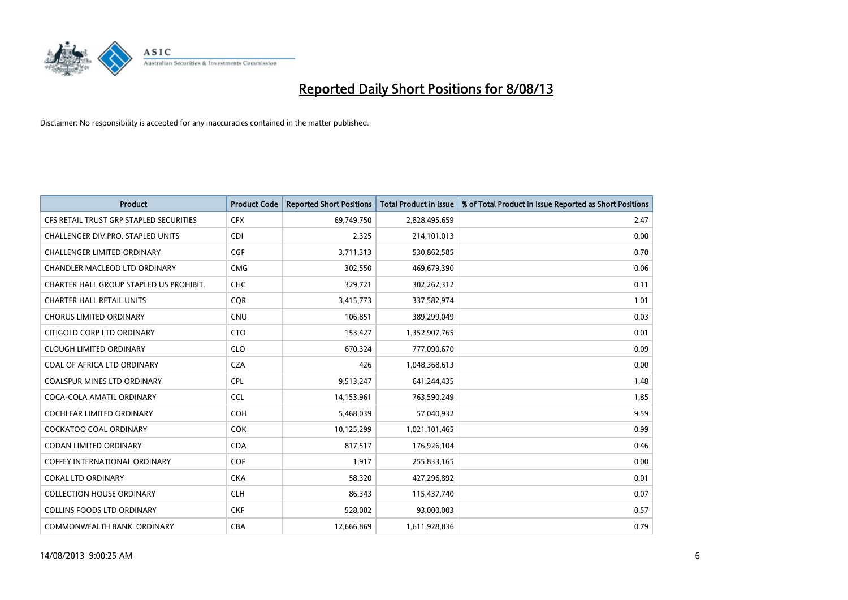

| <b>Product</b>                          | <b>Product Code</b> | <b>Reported Short Positions</b> | <b>Total Product in Issue</b> | % of Total Product in Issue Reported as Short Positions |
|-----------------------------------------|---------------------|---------------------------------|-------------------------------|---------------------------------------------------------|
| CFS RETAIL TRUST GRP STAPLED SECURITIES | <b>CFX</b>          | 69,749,750                      | 2,828,495,659                 | 2.47                                                    |
| CHALLENGER DIV.PRO. STAPLED UNITS       | CDI                 | 2,325                           | 214,101,013                   | 0.00                                                    |
| <b>CHALLENGER LIMITED ORDINARY</b>      | <b>CGF</b>          | 3,711,313                       | 530,862,585                   | 0.70                                                    |
| CHANDLER MACLEOD LTD ORDINARY           | <b>CMG</b>          | 302,550                         | 469,679,390                   | 0.06                                                    |
| CHARTER HALL GROUP STAPLED US PROHIBIT. | <b>CHC</b>          | 329,721                         | 302,262,312                   | 0.11                                                    |
| <b>CHARTER HALL RETAIL UNITS</b>        | <b>CQR</b>          | 3,415,773                       | 337,582,974                   | 1.01                                                    |
| <b>CHORUS LIMITED ORDINARY</b>          | <b>CNU</b>          | 106,851                         | 389,299,049                   | 0.03                                                    |
| CITIGOLD CORP LTD ORDINARY              | <b>CTO</b>          | 153,427                         | 1,352,907,765                 | 0.01                                                    |
| <b>CLOUGH LIMITED ORDINARY</b>          | <b>CLO</b>          | 670,324                         | 777,090,670                   | 0.09                                                    |
| COAL OF AFRICA LTD ORDINARY             | <b>CZA</b>          | 426                             | 1,048,368,613                 | 0.00                                                    |
| <b>COALSPUR MINES LTD ORDINARY</b>      | <b>CPL</b>          | 9,513,247                       | 641,244,435                   | 1.48                                                    |
| COCA-COLA AMATIL ORDINARY               | <b>CCL</b>          | 14,153,961                      | 763,590,249                   | 1.85                                                    |
| COCHLEAR LIMITED ORDINARY               | <b>COH</b>          | 5,468,039                       | 57,040,932                    | 9.59                                                    |
| <b>COCKATOO COAL ORDINARY</b>           | COK                 | 10,125,299                      | 1,021,101,465                 | 0.99                                                    |
| <b>CODAN LIMITED ORDINARY</b>           | <b>CDA</b>          | 817,517                         | 176,926,104                   | 0.46                                                    |
| COFFEY INTERNATIONAL ORDINARY           | <b>COF</b>          | 1,917                           | 255,833,165                   | 0.00                                                    |
| <b>COKAL LTD ORDINARY</b>               | <b>CKA</b>          | 58,320                          | 427,296,892                   | 0.01                                                    |
| <b>COLLECTION HOUSE ORDINARY</b>        | <b>CLH</b>          | 86,343                          | 115,437,740                   | 0.07                                                    |
| <b>COLLINS FOODS LTD ORDINARY</b>       | <b>CKF</b>          | 528,002                         | 93,000,003                    | 0.57                                                    |
| COMMONWEALTH BANK, ORDINARY             | <b>CBA</b>          | 12,666,869                      | 1,611,928,836                 | 0.79                                                    |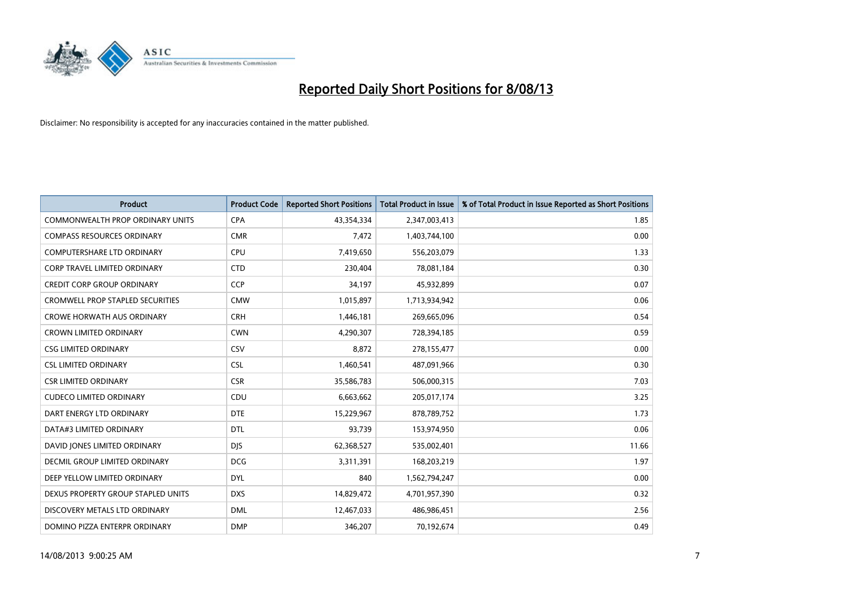

| <b>Product</b>                          | <b>Product Code</b> | <b>Reported Short Positions</b> | <b>Total Product in Issue</b> | % of Total Product in Issue Reported as Short Positions |
|-----------------------------------------|---------------------|---------------------------------|-------------------------------|---------------------------------------------------------|
| <b>COMMONWEALTH PROP ORDINARY UNITS</b> | <b>CPA</b>          | 43,354,334                      | 2,347,003,413                 | 1.85                                                    |
| <b>COMPASS RESOURCES ORDINARY</b>       | <b>CMR</b>          | 7,472                           | 1,403,744,100                 | 0.00                                                    |
| <b>COMPUTERSHARE LTD ORDINARY</b>       | <b>CPU</b>          | 7,419,650                       | 556,203,079                   | 1.33                                                    |
| <b>CORP TRAVEL LIMITED ORDINARY</b>     | <b>CTD</b>          | 230,404                         | 78,081,184                    | 0.30                                                    |
| <b>CREDIT CORP GROUP ORDINARY</b>       | <b>CCP</b>          | 34,197                          | 45,932,899                    | 0.07                                                    |
| <b>CROMWELL PROP STAPLED SECURITIES</b> | <b>CMW</b>          | 1,015,897                       | 1,713,934,942                 | 0.06                                                    |
| <b>CROWE HORWATH AUS ORDINARY</b>       | <b>CRH</b>          | 1,446,181                       | 269,665,096                   | 0.54                                                    |
| <b>CROWN LIMITED ORDINARY</b>           | <b>CWN</b>          | 4,290,307                       | 728,394,185                   | 0.59                                                    |
| <b>CSG LIMITED ORDINARY</b>             | CSV                 | 8,872                           | 278,155,477                   | 0.00                                                    |
| <b>CSL LIMITED ORDINARY</b>             | <b>CSL</b>          | 1,460,541                       | 487,091,966                   | 0.30                                                    |
| <b>CSR LIMITED ORDINARY</b>             | <b>CSR</b>          | 35,586,783                      | 506,000,315                   | 7.03                                                    |
| <b>CUDECO LIMITED ORDINARY</b>          | CDU                 | 6,663,662                       | 205,017,174                   | 3.25                                                    |
| DART ENERGY LTD ORDINARY                | <b>DTE</b>          | 15,229,967                      | 878,789,752                   | 1.73                                                    |
| DATA#3 LIMITED ORDINARY                 | <b>DTL</b>          | 93,739                          | 153,974,950                   | 0.06                                                    |
| DAVID JONES LIMITED ORDINARY            | <b>DJS</b>          | 62,368,527                      | 535,002,401                   | 11.66                                                   |
| <b>DECMIL GROUP LIMITED ORDINARY</b>    | <b>DCG</b>          | 3,311,391                       | 168,203,219                   | 1.97                                                    |
| DEEP YELLOW LIMITED ORDINARY            | <b>DYL</b>          | 840                             | 1,562,794,247                 | 0.00                                                    |
| DEXUS PROPERTY GROUP STAPLED UNITS      | <b>DXS</b>          | 14,829,472                      | 4,701,957,390                 | 0.32                                                    |
| DISCOVERY METALS LTD ORDINARY           | <b>DML</b>          | 12,467,033                      | 486,986,451                   | 2.56                                                    |
| DOMINO PIZZA ENTERPR ORDINARY           | <b>DMP</b>          | 346,207                         | 70,192,674                    | 0.49                                                    |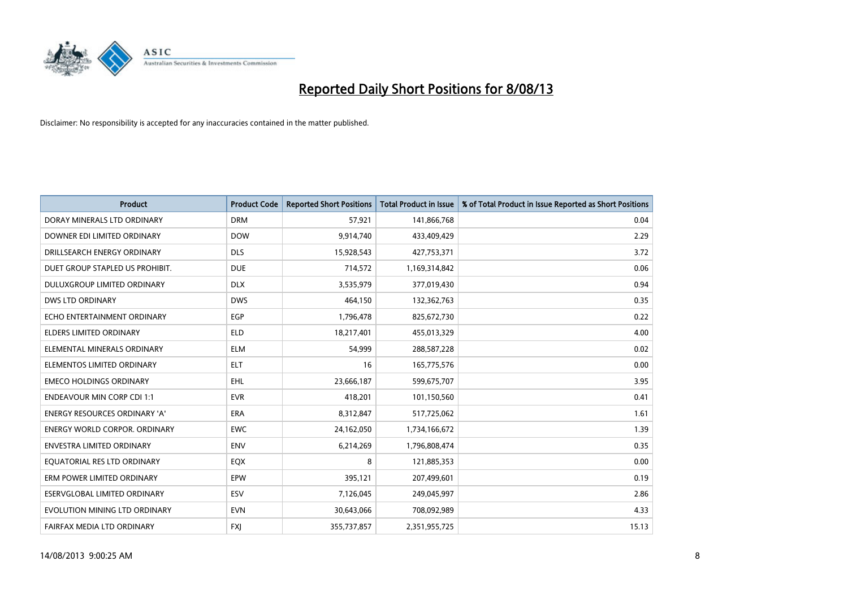

| <b>Product</b>                       | <b>Product Code</b> | <b>Reported Short Positions</b> | <b>Total Product in Issue</b> | % of Total Product in Issue Reported as Short Positions |
|--------------------------------------|---------------------|---------------------------------|-------------------------------|---------------------------------------------------------|
| DORAY MINERALS LTD ORDINARY          | <b>DRM</b>          | 57,921                          | 141,866,768                   | 0.04                                                    |
| DOWNER EDI LIMITED ORDINARY          | <b>DOW</b>          | 9,914,740                       | 433,409,429                   | 2.29                                                    |
| DRILLSEARCH ENERGY ORDINARY          | <b>DLS</b>          | 15,928,543                      | 427,753,371                   | 3.72                                                    |
| DUET GROUP STAPLED US PROHIBIT.      | <b>DUE</b>          | 714,572                         | 1,169,314,842                 | 0.06                                                    |
| DULUXGROUP LIMITED ORDINARY          | <b>DLX</b>          | 3,535,979                       | 377,019,430                   | 0.94                                                    |
| <b>DWS LTD ORDINARY</b>              | <b>DWS</b>          | 464,150                         | 132,362,763                   | 0.35                                                    |
| ECHO ENTERTAINMENT ORDINARY          | <b>EGP</b>          | 1,796,478                       | 825,672,730                   | 0.22                                                    |
| <b>ELDERS LIMITED ORDINARY</b>       | <b>ELD</b>          | 18,217,401                      | 455,013,329                   | 4.00                                                    |
| ELEMENTAL MINERALS ORDINARY          | ELM                 | 54,999                          | 288,587,228                   | 0.02                                                    |
| ELEMENTOS LIMITED ORDINARY           | <b>ELT</b>          | 16                              | 165,775,576                   | 0.00                                                    |
| <b>EMECO HOLDINGS ORDINARY</b>       | <b>EHL</b>          | 23,666,187                      | 599,675,707                   | 3.95                                                    |
| <b>ENDEAVOUR MIN CORP CDI 1:1</b>    | <b>EVR</b>          | 418,201                         | 101,150,560                   | 0.41                                                    |
| <b>ENERGY RESOURCES ORDINARY 'A'</b> | <b>ERA</b>          | 8,312,847                       | 517,725,062                   | 1.61                                                    |
| <b>ENERGY WORLD CORPOR, ORDINARY</b> | <b>EWC</b>          | 24,162,050                      | 1,734,166,672                 | 1.39                                                    |
| <b>ENVESTRA LIMITED ORDINARY</b>     | <b>ENV</b>          | 6,214,269                       | 1,796,808,474                 | 0.35                                                    |
| EQUATORIAL RES LTD ORDINARY          | EQX                 | 8                               | 121,885,353                   | 0.00                                                    |
| ERM POWER LIMITED ORDINARY           | <b>EPW</b>          | 395,121                         | 207,499,601                   | 0.19                                                    |
| ESERVGLOBAL LIMITED ORDINARY         | <b>ESV</b>          | 7,126,045                       | 249,045,997                   | 2.86                                                    |
| EVOLUTION MINING LTD ORDINARY        | <b>EVN</b>          | 30,643,066                      | 708,092,989                   | 4.33                                                    |
| FAIRFAX MEDIA LTD ORDINARY           | <b>FXJ</b>          | 355,737,857                     | 2,351,955,725                 | 15.13                                                   |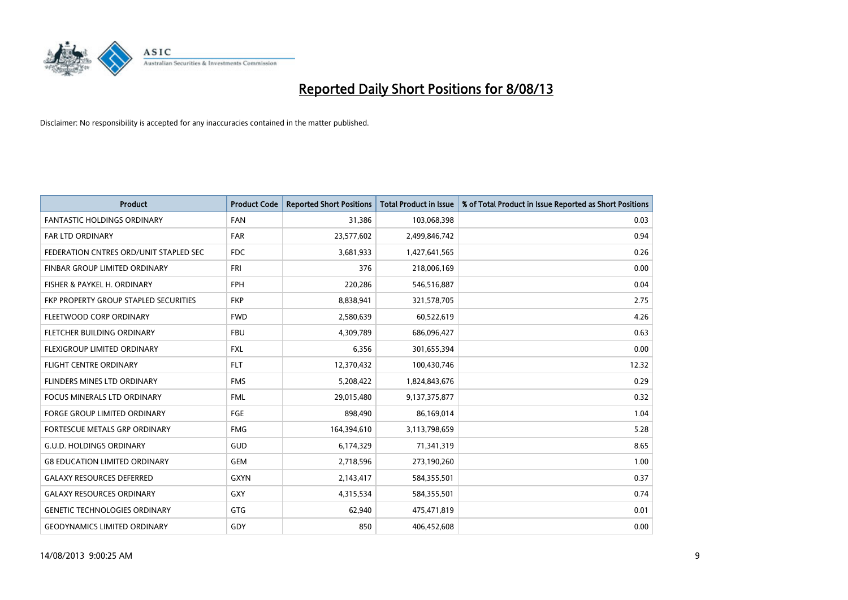

| <b>Product</b>                         | <b>Product Code</b> | <b>Reported Short Positions</b> | <b>Total Product in Issue</b> | % of Total Product in Issue Reported as Short Positions |
|----------------------------------------|---------------------|---------------------------------|-------------------------------|---------------------------------------------------------|
| <b>FANTASTIC HOLDINGS ORDINARY</b>     | <b>FAN</b>          | 31,386                          | 103,068,398                   | 0.03                                                    |
| FAR LTD ORDINARY                       | FAR                 | 23,577,602                      | 2,499,846,742                 | 0.94                                                    |
| FEDERATION CNTRES ORD/UNIT STAPLED SEC | <b>FDC</b>          | 3,681,933                       | 1,427,641,565                 | 0.26                                                    |
| FINBAR GROUP LIMITED ORDINARY          | <b>FRI</b>          | 376                             | 218,006,169                   | 0.00                                                    |
| FISHER & PAYKEL H. ORDINARY            | <b>FPH</b>          | 220,286                         | 546,516,887                   | 0.04                                                    |
| FKP PROPERTY GROUP STAPLED SECURITIES  | <b>FKP</b>          | 8,838,941                       | 321,578,705                   | 2.75                                                    |
| FLEETWOOD CORP ORDINARY                | <b>FWD</b>          | 2,580,639                       | 60,522,619                    | 4.26                                                    |
| FLETCHER BUILDING ORDINARY             | <b>FBU</b>          | 4,309,789                       | 686,096,427                   | 0.63                                                    |
| FLEXIGROUP LIMITED ORDINARY            | <b>FXL</b>          | 6,356                           | 301,655,394                   | 0.00                                                    |
| <b>FLIGHT CENTRE ORDINARY</b>          | <b>FLT</b>          | 12,370,432                      | 100,430,746                   | 12.32                                                   |
| FLINDERS MINES LTD ORDINARY            | <b>FMS</b>          | 5,208,422                       | 1,824,843,676                 | 0.29                                                    |
| <b>FOCUS MINERALS LTD ORDINARY</b>     | <b>FML</b>          | 29,015,480                      | 9,137,375,877                 | 0.32                                                    |
| FORGE GROUP LIMITED ORDINARY           | FGE                 | 898,490                         | 86,169,014                    | 1.04                                                    |
| FORTESCUE METALS GRP ORDINARY          | <b>FMG</b>          | 164,394,610                     | 3,113,798,659                 | 5.28                                                    |
| <b>G.U.D. HOLDINGS ORDINARY</b>        | <b>GUD</b>          | 6,174,329                       | 71,341,319                    | 8.65                                                    |
| <b>G8 EDUCATION LIMITED ORDINARY</b>   | <b>GEM</b>          | 2,718,596                       | 273,190,260                   | 1.00                                                    |
| <b>GALAXY RESOURCES DEFERRED</b>       | <b>GXYN</b>         | 2,143,417                       | 584,355,501                   | 0.37                                                    |
| <b>GALAXY RESOURCES ORDINARY</b>       | GXY                 | 4,315,534                       | 584,355,501                   | 0.74                                                    |
| <b>GENETIC TECHNOLOGIES ORDINARY</b>   | GTG                 | 62,940                          | 475,471,819                   | 0.01                                                    |
| <b>GEODYNAMICS LIMITED ORDINARY</b>    | GDY                 | 850                             | 406,452,608                   | 0.00                                                    |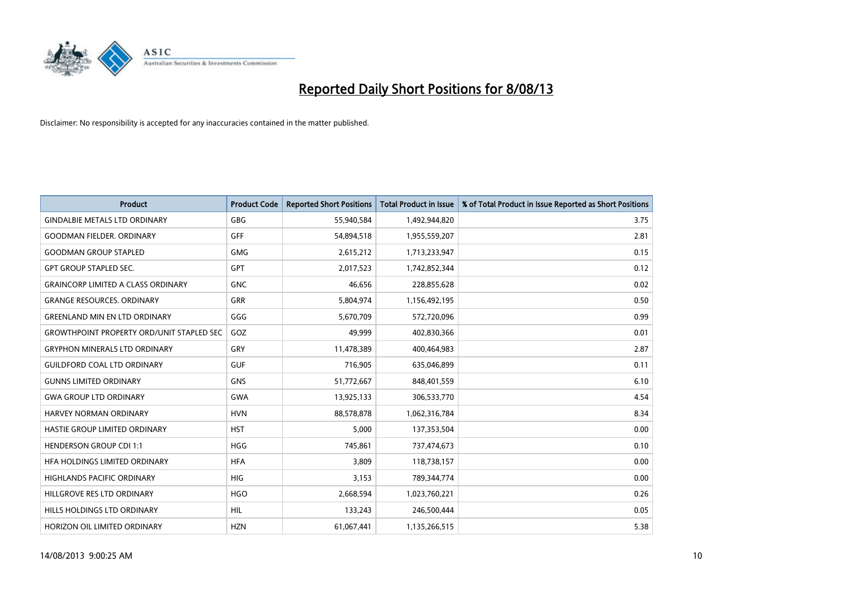

| <b>Product</b>                                   | <b>Product Code</b> | <b>Reported Short Positions</b> | <b>Total Product in Issue</b> | % of Total Product in Issue Reported as Short Positions |
|--------------------------------------------------|---------------------|---------------------------------|-------------------------------|---------------------------------------------------------|
| <b>GINDALBIE METALS LTD ORDINARY</b>             | GBG                 | 55,940,584                      | 1,492,944,820                 | 3.75                                                    |
| <b>GOODMAN FIELDER, ORDINARY</b>                 | GFF                 | 54,894,518                      | 1,955,559,207                 | 2.81                                                    |
| <b>GOODMAN GROUP STAPLED</b>                     | <b>GMG</b>          | 2,615,212                       | 1,713,233,947                 | 0.15                                                    |
| <b>GPT GROUP STAPLED SEC.</b>                    | GPT                 | 2,017,523                       | 1,742,852,344                 | 0.12                                                    |
| <b>GRAINCORP LIMITED A CLASS ORDINARY</b>        | <b>GNC</b>          | 46,656                          | 228,855,628                   | 0.02                                                    |
| <b>GRANGE RESOURCES, ORDINARY</b>                | <b>GRR</b>          | 5,804,974                       | 1,156,492,195                 | 0.50                                                    |
| <b>GREENLAND MIN EN LTD ORDINARY</b>             | GGG                 | 5,670,709                       | 572,720,096                   | 0.99                                                    |
| <b>GROWTHPOINT PROPERTY ORD/UNIT STAPLED SEC</b> | GOZ                 | 49,999                          | 402,830,366                   | 0.01                                                    |
| <b>GRYPHON MINERALS LTD ORDINARY</b>             | GRY                 | 11,478,389                      | 400,464,983                   | 2.87                                                    |
| <b>GUILDFORD COAL LTD ORDINARY</b>               | <b>GUF</b>          | 716,905                         | 635,046,899                   | 0.11                                                    |
| <b>GUNNS LIMITED ORDINARY</b>                    | <b>GNS</b>          | 51,772,667                      | 848,401,559                   | 6.10                                                    |
| <b>GWA GROUP LTD ORDINARY</b>                    | <b>GWA</b>          | 13,925,133                      | 306,533,770                   | 4.54                                                    |
| HARVEY NORMAN ORDINARY                           | <b>HVN</b>          | 88,578,878                      | 1,062,316,784                 | 8.34                                                    |
| HASTIE GROUP LIMITED ORDINARY                    | <b>HST</b>          | 5,000                           | 137,353,504                   | 0.00                                                    |
| <b>HENDERSON GROUP CDI 1:1</b>                   | <b>HGG</b>          | 745,861                         | 737,474,673                   | 0.10                                                    |
| HFA HOLDINGS LIMITED ORDINARY                    | <b>HFA</b>          | 3,809                           | 118,738,157                   | 0.00                                                    |
| HIGHLANDS PACIFIC ORDINARY                       | HIG                 | 3,153                           | 789,344,774                   | 0.00                                                    |
| HILLGROVE RES LTD ORDINARY                       | <b>HGO</b>          | 2,668,594                       | 1,023,760,221                 | 0.26                                                    |
| HILLS HOLDINGS LTD ORDINARY                      | <b>HIL</b>          | 133,243                         | 246,500,444                   | 0.05                                                    |
| HORIZON OIL LIMITED ORDINARY                     | <b>HZN</b>          | 61,067,441                      | 1,135,266,515                 | 5.38                                                    |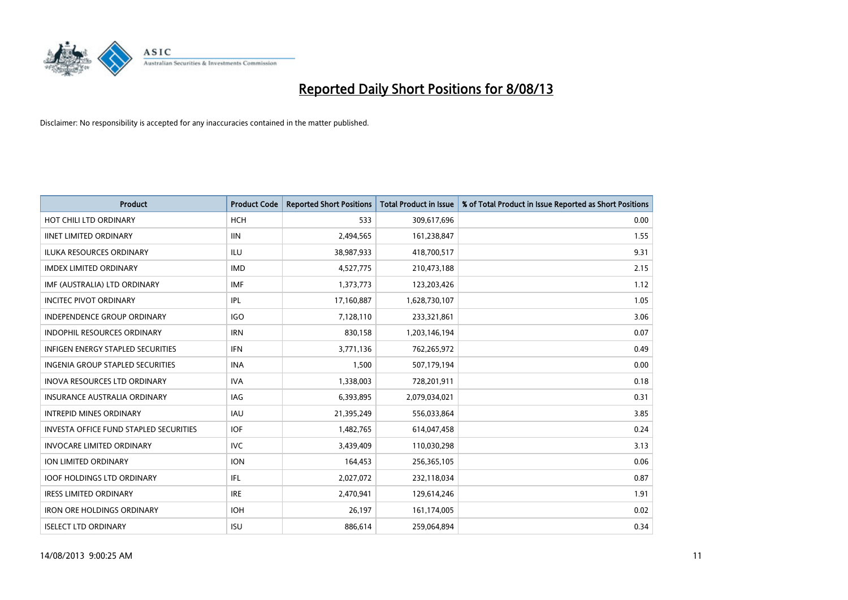

| <b>Product</b>                                | <b>Product Code</b> | <b>Reported Short Positions</b> | <b>Total Product in Issue</b> | % of Total Product in Issue Reported as Short Positions |
|-----------------------------------------------|---------------------|---------------------------------|-------------------------------|---------------------------------------------------------|
| HOT CHILI LTD ORDINARY                        | <b>HCH</b>          | 533                             | 309,617,696                   | 0.00                                                    |
| <b>IINET LIMITED ORDINARY</b>                 | <b>IIN</b>          | 2,494,565                       | 161,238,847                   | 1.55                                                    |
| <b>ILUKA RESOURCES ORDINARY</b>               | ILU                 | 38,987,933                      | 418,700,517                   | 9.31                                                    |
| <b>IMDEX LIMITED ORDINARY</b>                 | <b>IMD</b>          | 4,527,775                       | 210,473,188                   | 2.15                                                    |
| IMF (AUSTRALIA) LTD ORDINARY                  | <b>IMF</b>          | 1,373,773                       | 123,203,426                   | 1.12                                                    |
| <b>INCITEC PIVOT ORDINARY</b>                 | IPL                 | 17,160,887                      | 1,628,730,107                 | 1.05                                                    |
| INDEPENDENCE GROUP ORDINARY                   | <b>IGO</b>          | 7,128,110                       | 233,321,861                   | 3.06                                                    |
| INDOPHIL RESOURCES ORDINARY                   | <b>IRN</b>          | 830,158                         | 1,203,146,194                 | 0.07                                                    |
| <b>INFIGEN ENERGY STAPLED SECURITIES</b>      | <b>IFN</b>          | 3,771,136                       | 762,265,972                   | 0.49                                                    |
| <b>INGENIA GROUP STAPLED SECURITIES</b>       | <b>INA</b>          | 1,500                           | 507,179,194                   | 0.00                                                    |
| INOVA RESOURCES LTD ORDINARY                  | <b>IVA</b>          | 1,338,003                       | 728,201,911                   | 0.18                                                    |
| <b>INSURANCE AUSTRALIA ORDINARY</b>           | IAG                 | 6,393,895                       | 2,079,034,021                 | 0.31                                                    |
| <b>INTREPID MINES ORDINARY</b>                | <b>IAU</b>          | 21,395,249                      | 556,033,864                   | 3.85                                                    |
| <b>INVESTA OFFICE FUND STAPLED SECURITIES</b> | <b>IOF</b>          | 1,482,765                       | 614,047,458                   | 0.24                                                    |
| <b>INVOCARE LIMITED ORDINARY</b>              | <b>IVC</b>          | 3,439,409                       | 110,030,298                   | 3.13                                                    |
| ION LIMITED ORDINARY                          | <b>ION</b>          | 164,453                         | 256,365,105                   | 0.06                                                    |
| <b>IOOF HOLDINGS LTD ORDINARY</b>             | IFL                 | 2,027,072                       | 232,118,034                   | 0.87                                                    |
| <b>IRESS LIMITED ORDINARY</b>                 | <b>IRE</b>          | 2,470,941                       | 129,614,246                   | 1.91                                                    |
| <b>IRON ORE HOLDINGS ORDINARY</b>             | <b>IOH</b>          | 26,197                          | 161,174,005                   | 0.02                                                    |
| <b>ISELECT LTD ORDINARY</b>                   | <b>ISU</b>          | 886,614                         | 259,064,894                   | 0.34                                                    |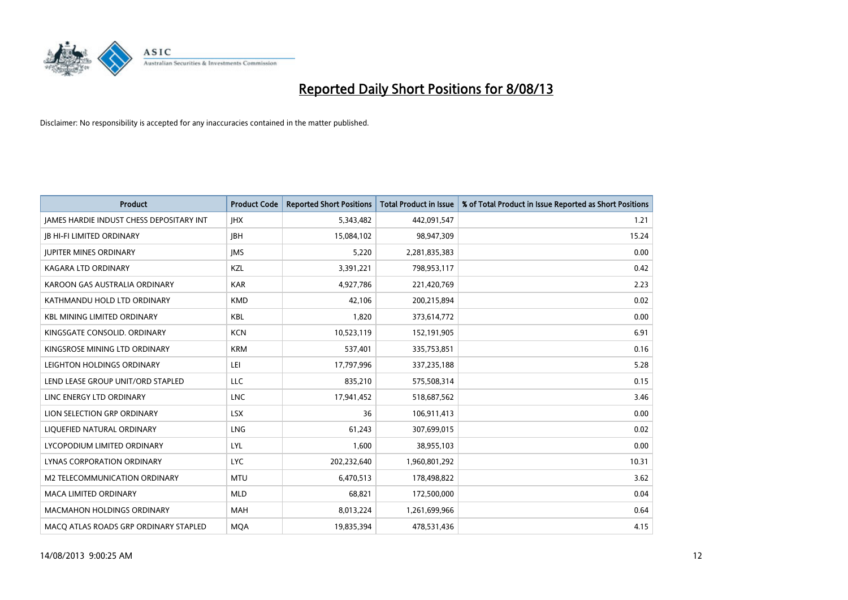

| <b>Product</b>                           | <b>Product Code</b> | <b>Reported Short Positions</b> | <b>Total Product in Issue</b> | % of Total Product in Issue Reported as Short Positions |
|------------------------------------------|---------------------|---------------------------------|-------------------------------|---------------------------------------------------------|
| JAMES HARDIE INDUST CHESS DEPOSITARY INT | <b>IHX</b>          | 5,343,482                       | 442,091,547                   | 1.21                                                    |
| <b>JB HI-FI LIMITED ORDINARY</b>         | <b>JBH</b>          | 15,084,102                      | 98,947,309                    | 15.24                                                   |
| <b>JUPITER MINES ORDINARY</b>            | <b>IMS</b>          | 5,220                           | 2,281,835,383                 | 0.00                                                    |
| <b>KAGARA LTD ORDINARY</b>               | KZL                 | 3,391,221                       | 798,953,117                   | 0.42                                                    |
| KAROON GAS AUSTRALIA ORDINARY            | <b>KAR</b>          | 4,927,786                       | 221,420,769                   | 2.23                                                    |
| KATHMANDU HOLD LTD ORDINARY              | <b>KMD</b>          | 42,106                          | 200,215,894                   | 0.02                                                    |
| <b>KBL MINING LIMITED ORDINARY</b>       | <b>KBL</b>          | 1.820                           | 373,614,772                   | 0.00                                                    |
| KINGSGATE CONSOLID. ORDINARY             | <b>KCN</b>          | 10,523,119                      | 152,191,905                   | 6.91                                                    |
| KINGSROSE MINING LTD ORDINARY            | <b>KRM</b>          | 537,401                         | 335,753,851                   | 0.16                                                    |
| LEIGHTON HOLDINGS ORDINARY               | LEI                 | 17,797,996                      | 337,235,188                   | 5.28                                                    |
| LEND LEASE GROUP UNIT/ORD STAPLED        | <b>LLC</b>          | 835,210                         | 575,508,314                   | 0.15                                                    |
| LINC ENERGY LTD ORDINARY                 | <b>LNC</b>          | 17,941,452                      | 518,687,562                   | 3.46                                                    |
| LION SELECTION GRP ORDINARY              | <b>LSX</b>          | 36                              | 106,911,413                   | 0.00                                                    |
| LIQUEFIED NATURAL ORDINARY               | <b>LNG</b>          | 61,243                          | 307,699,015                   | 0.02                                                    |
| LYCOPODIUM LIMITED ORDINARY              | LYL                 | 1,600                           | 38,955,103                    | 0.00                                                    |
| LYNAS CORPORATION ORDINARY               | <b>LYC</b>          | 202,232,640                     | 1,960,801,292                 | 10.31                                                   |
| <b>M2 TELECOMMUNICATION ORDINARY</b>     | <b>MTU</b>          | 6,470,513                       | 178,498,822                   | 3.62                                                    |
| <b>MACA LIMITED ORDINARY</b>             | <b>MLD</b>          | 68,821                          | 172,500,000                   | 0.04                                                    |
| <b>MACMAHON HOLDINGS ORDINARY</b>        | <b>MAH</b>          | 8,013,224                       | 1,261,699,966                 | 0.64                                                    |
| MACO ATLAS ROADS GRP ORDINARY STAPLED    | <b>MQA</b>          | 19,835,394                      | 478,531,436                   | 4.15                                                    |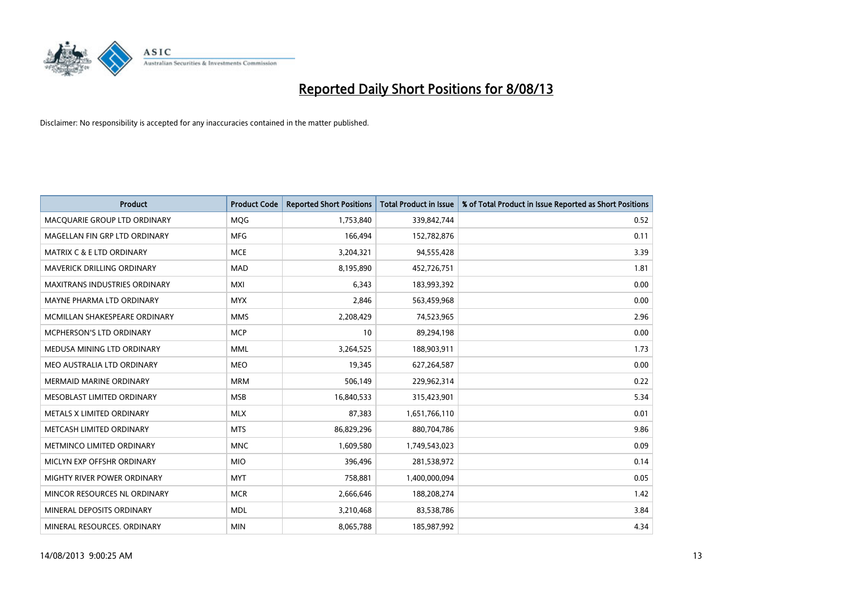

| <b>Product</b>                       | <b>Product Code</b> | <b>Reported Short Positions</b> | <b>Total Product in Issue</b> | % of Total Product in Issue Reported as Short Positions |
|--------------------------------------|---------------------|---------------------------------|-------------------------------|---------------------------------------------------------|
| MACQUARIE GROUP LTD ORDINARY         | MQG                 | 1,753,840                       | 339,842,744                   | 0.52                                                    |
| MAGELLAN FIN GRP LTD ORDINARY        | MFG                 | 166,494                         | 152,782,876                   | 0.11                                                    |
| <b>MATRIX C &amp; E LTD ORDINARY</b> | <b>MCE</b>          | 3,204,321                       | 94,555,428                    | 3.39                                                    |
| MAVERICK DRILLING ORDINARY           | <b>MAD</b>          | 8,195,890                       | 452,726,751                   | 1.81                                                    |
| <b>MAXITRANS INDUSTRIES ORDINARY</b> | <b>MXI</b>          | 6,343                           | 183,993,392                   | 0.00                                                    |
| MAYNE PHARMA LTD ORDINARY            | <b>MYX</b>          | 2,846                           | 563,459,968                   | 0.00                                                    |
| MCMILLAN SHAKESPEARE ORDINARY        | <b>MMS</b>          | 2,208,429                       | 74,523,965                    | 2.96                                                    |
| MCPHERSON'S LTD ORDINARY             | <b>MCP</b>          | 10                              | 89,294,198                    | 0.00                                                    |
| MEDUSA MINING LTD ORDINARY           | <b>MML</b>          | 3,264,525                       | 188,903,911                   | 1.73                                                    |
| MEO AUSTRALIA LTD ORDINARY           | <b>MEO</b>          | 19,345                          | 627,264,587                   | 0.00                                                    |
| MERMAID MARINE ORDINARY              | <b>MRM</b>          | 506,149                         | 229,962,314                   | 0.22                                                    |
| MESOBLAST LIMITED ORDINARY           | <b>MSB</b>          | 16,840,533                      | 315,423,901                   | 5.34                                                    |
| METALS X LIMITED ORDINARY            | <b>MLX</b>          | 87,383                          | 1,651,766,110                 | 0.01                                                    |
| METCASH LIMITED ORDINARY             | <b>MTS</b>          | 86,829,296                      | 880,704,786                   | 9.86                                                    |
| METMINCO LIMITED ORDINARY            | <b>MNC</b>          | 1,609,580                       | 1,749,543,023                 | 0.09                                                    |
| MICLYN EXP OFFSHR ORDINARY           | <b>MIO</b>          | 396,496                         | 281,538,972                   | 0.14                                                    |
| MIGHTY RIVER POWER ORDINARY          | <b>MYT</b>          | 758,881                         | 1,400,000,094                 | 0.05                                                    |
| MINCOR RESOURCES NL ORDINARY         | <b>MCR</b>          | 2,666,646                       | 188,208,274                   | 1.42                                                    |
| MINERAL DEPOSITS ORDINARY            | <b>MDL</b>          | 3,210,468                       | 83,538,786                    | 3.84                                                    |
| MINERAL RESOURCES. ORDINARY          | <b>MIN</b>          | 8,065,788                       | 185,987,992                   | 4.34                                                    |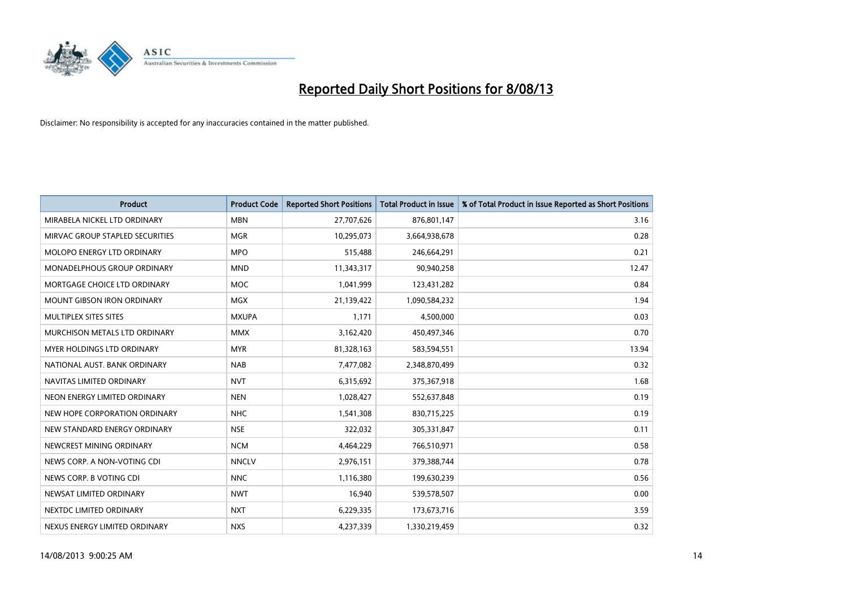

| <b>Product</b>                    | <b>Product Code</b> | <b>Reported Short Positions</b> | <b>Total Product in Issue</b> | % of Total Product in Issue Reported as Short Positions |
|-----------------------------------|---------------------|---------------------------------|-------------------------------|---------------------------------------------------------|
| MIRABELA NICKEL LTD ORDINARY      | <b>MBN</b>          | 27,707,626                      | 876,801,147                   | 3.16                                                    |
| MIRVAC GROUP STAPLED SECURITIES   | <b>MGR</b>          | 10,295,073                      | 3,664,938,678                 | 0.28                                                    |
| MOLOPO ENERGY LTD ORDINARY        | <b>MPO</b>          | 515,488                         | 246,664,291                   | 0.21                                                    |
| MONADELPHOUS GROUP ORDINARY       | <b>MND</b>          | 11,343,317                      | 90,940,258                    | 12.47                                                   |
| MORTGAGE CHOICE LTD ORDINARY      | <b>MOC</b>          | 1,041,999                       | 123,431,282                   | 0.84                                                    |
| <b>MOUNT GIBSON IRON ORDINARY</b> | <b>MGX</b>          | 21,139,422                      | 1,090,584,232                 | 1.94                                                    |
| MULTIPLEX SITES SITES             | <b>MXUPA</b>        | 1,171                           | 4,500,000                     | 0.03                                                    |
| MURCHISON METALS LTD ORDINARY     | <b>MMX</b>          | 3,162,420                       | 450,497,346                   | 0.70                                                    |
| <b>MYER HOLDINGS LTD ORDINARY</b> | <b>MYR</b>          | 81,328,163                      | 583,594,551                   | 13.94                                                   |
| NATIONAL AUST, BANK ORDINARY      | <b>NAB</b>          | 7,477,082                       | 2,348,870,499                 | 0.32                                                    |
| NAVITAS LIMITED ORDINARY          | <b>NVT</b>          | 6,315,692                       | 375,367,918                   | 1.68                                                    |
| NEON ENERGY LIMITED ORDINARY      | <b>NEN</b>          | 1,028,427                       | 552,637,848                   | 0.19                                                    |
| NEW HOPE CORPORATION ORDINARY     | <b>NHC</b>          | 1,541,308                       | 830,715,225                   | 0.19                                                    |
| NEW STANDARD ENERGY ORDINARY      | <b>NSE</b>          | 322,032                         | 305,331,847                   | 0.11                                                    |
| NEWCREST MINING ORDINARY          | <b>NCM</b>          | 4,464,229                       | 766,510,971                   | 0.58                                                    |
| NEWS CORP. A NON-VOTING CDI       | <b>NNCLV</b>        | 2,976,151                       | 379,388,744                   | 0.78                                                    |
| NEWS CORP. B VOTING CDI           | <b>NNC</b>          | 1,116,380                       | 199,630,239                   | 0.56                                                    |
| NEWSAT LIMITED ORDINARY           | <b>NWT</b>          | 16,940                          | 539,578,507                   | 0.00                                                    |
| NEXTDC LIMITED ORDINARY           | <b>NXT</b>          | 6,229,335                       | 173,673,716                   | 3.59                                                    |
| NEXUS ENERGY LIMITED ORDINARY     | <b>NXS</b>          | 4,237,339                       | 1,330,219,459                 | 0.32                                                    |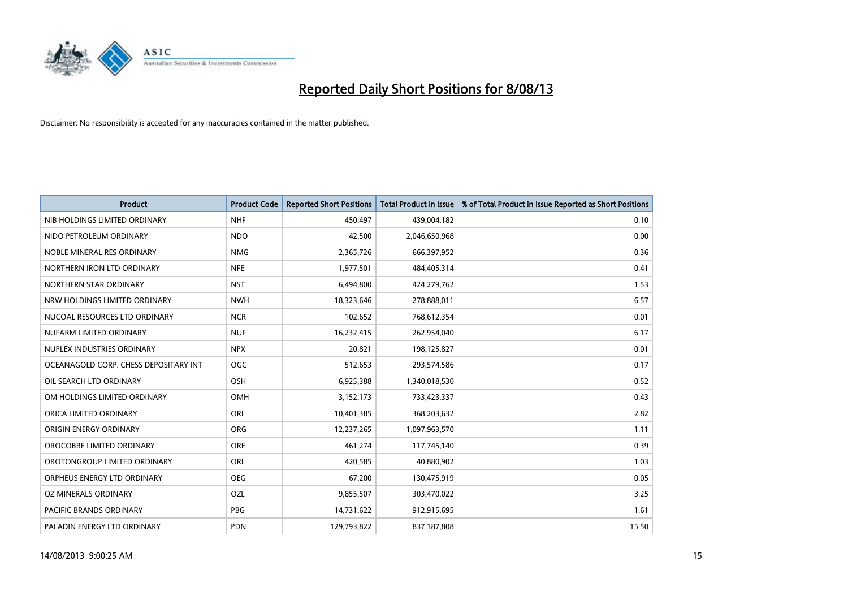

| <b>Product</b>                        | <b>Product Code</b> | <b>Reported Short Positions</b> | <b>Total Product in Issue</b> | % of Total Product in Issue Reported as Short Positions |
|---------------------------------------|---------------------|---------------------------------|-------------------------------|---------------------------------------------------------|
| NIB HOLDINGS LIMITED ORDINARY         | <b>NHF</b>          | 450,497                         | 439,004,182                   | 0.10                                                    |
| NIDO PETROLEUM ORDINARY               | <b>NDO</b>          | 42,500                          | 2,046,650,968                 | 0.00                                                    |
| NOBLE MINERAL RES ORDINARY            | <b>NMG</b>          | 2,365,726                       | 666,397,952                   | 0.36                                                    |
| NORTHERN IRON LTD ORDINARY            | <b>NFE</b>          | 1,977,501                       | 484,405,314                   | 0.41                                                    |
| NORTHERN STAR ORDINARY                | <b>NST</b>          | 6,494,800                       | 424,279,762                   | 1.53                                                    |
| NRW HOLDINGS LIMITED ORDINARY         | <b>NWH</b>          | 18,323,646                      | 278,888,011                   | 6.57                                                    |
| NUCOAL RESOURCES LTD ORDINARY         | <b>NCR</b>          | 102,652                         | 768,612,354                   | 0.01                                                    |
| NUFARM LIMITED ORDINARY               | <b>NUF</b>          | 16,232,415                      | 262,954,040                   | 6.17                                                    |
| NUPLEX INDUSTRIES ORDINARY            | <b>NPX</b>          | 20,821                          | 198,125,827                   | 0.01                                                    |
| OCEANAGOLD CORP. CHESS DEPOSITARY INT | <b>OGC</b>          | 512,653                         | 293,574,586                   | 0.17                                                    |
| OIL SEARCH LTD ORDINARY               | OSH                 | 6,925,388                       | 1,340,018,530                 | 0.52                                                    |
| OM HOLDINGS LIMITED ORDINARY          | OMH                 | 3,152,173                       | 733,423,337                   | 0.43                                                    |
| ORICA LIMITED ORDINARY                | ORI                 | 10,401,385                      | 368,203,632                   | 2.82                                                    |
| ORIGIN ENERGY ORDINARY                | ORG                 | 12,237,265                      | 1,097,963,570                 | 1.11                                                    |
| OROCOBRE LIMITED ORDINARY             | <b>ORE</b>          | 461,274                         | 117,745,140                   | 0.39                                                    |
| OROTONGROUP LIMITED ORDINARY          | ORL                 | 420,585                         | 40,880,902                    | 1.03                                                    |
| ORPHEUS ENERGY LTD ORDINARY           | <b>OEG</b>          | 67,200                          | 130,475,919                   | 0.05                                                    |
| OZ MINERALS ORDINARY                  | OZL                 | 9,855,507                       | 303,470,022                   | 3.25                                                    |
| <b>PACIFIC BRANDS ORDINARY</b>        | <b>PBG</b>          | 14,731,622                      | 912,915,695                   | 1.61                                                    |
| PALADIN ENERGY LTD ORDINARY           | <b>PDN</b>          | 129,793,822                     | 837,187,808                   | 15.50                                                   |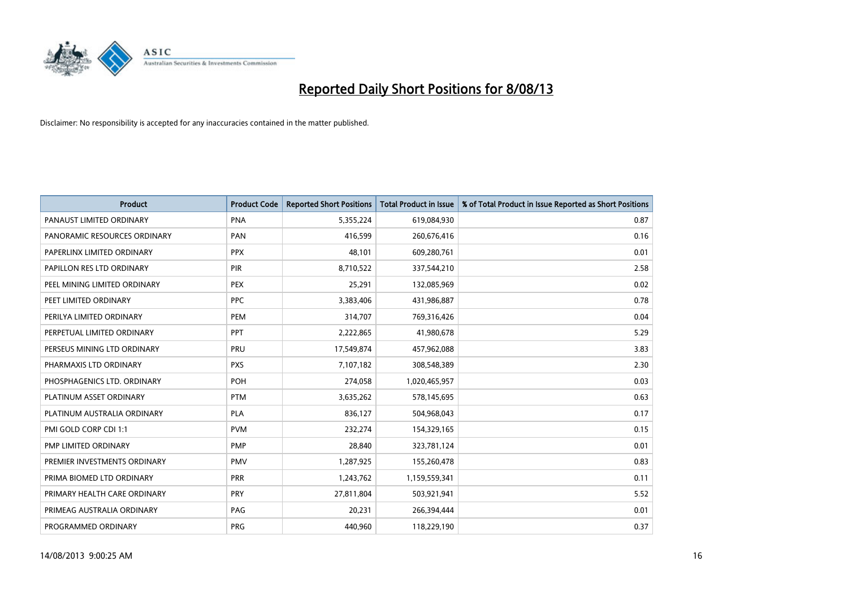

| <b>Product</b>               | <b>Product Code</b> | <b>Reported Short Positions</b> | <b>Total Product in Issue</b> | % of Total Product in Issue Reported as Short Positions |
|------------------------------|---------------------|---------------------------------|-------------------------------|---------------------------------------------------------|
| PANAUST LIMITED ORDINARY     | <b>PNA</b>          | 5,355,224                       | 619,084,930                   | 0.87                                                    |
| PANORAMIC RESOURCES ORDINARY | PAN                 | 416,599                         | 260,676,416                   | 0.16                                                    |
| PAPERLINX LIMITED ORDINARY   | <b>PPX</b>          | 48.101                          | 609,280,761                   | 0.01                                                    |
| PAPILLON RES LTD ORDINARY    | <b>PIR</b>          | 8,710,522                       | 337,544,210                   | 2.58                                                    |
| PEEL MINING LIMITED ORDINARY | <b>PEX</b>          | 25,291                          | 132,085,969                   | 0.02                                                    |
| PEET LIMITED ORDINARY        | <b>PPC</b>          | 3,383,406                       | 431,986,887                   | 0.78                                                    |
| PERILYA LIMITED ORDINARY     | <b>PEM</b>          | 314,707                         | 769,316,426                   | 0.04                                                    |
| PERPETUAL LIMITED ORDINARY   | PPT                 | 2,222,865                       | 41,980,678                    | 5.29                                                    |
| PERSEUS MINING LTD ORDINARY  | PRU                 | 17,549,874                      | 457,962,088                   | 3.83                                                    |
| PHARMAXIS LTD ORDINARY       | <b>PXS</b>          | 7,107,182                       | 308,548,389                   | 2.30                                                    |
| PHOSPHAGENICS LTD. ORDINARY  | POH                 | 274,058                         | 1,020,465,957                 | 0.03                                                    |
| PLATINUM ASSET ORDINARY      | <b>PTM</b>          | 3,635,262                       | 578,145,695                   | 0.63                                                    |
| PLATINUM AUSTRALIA ORDINARY  | <b>PLA</b>          | 836,127                         | 504,968,043                   | 0.17                                                    |
| PMI GOLD CORP CDI 1:1        | <b>PVM</b>          | 232,274                         | 154,329,165                   | 0.15                                                    |
| PMP LIMITED ORDINARY         | <b>PMP</b>          | 28,840                          | 323,781,124                   | 0.01                                                    |
| PREMIER INVESTMENTS ORDINARY | PMV                 | 1,287,925                       | 155,260,478                   | 0.83                                                    |
| PRIMA BIOMED LTD ORDINARY    | <b>PRR</b>          | 1,243,762                       | 1,159,559,341                 | 0.11                                                    |
| PRIMARY HEALTH CARE ORDINARY | <b>PRY</b>          | 27,811,804                      | 503,921,941                   | 5.52                                                    |
| PRIMEAG AUSTRALIA ORDINARY   | PAG                 | 20,231                          | 266,394,444                   | 0.01                                                    |
| PROGRAMMED ORDINARY          | <b>PRG</b>          | 440,960                         | 118,229,190                   | 0.37                                                    |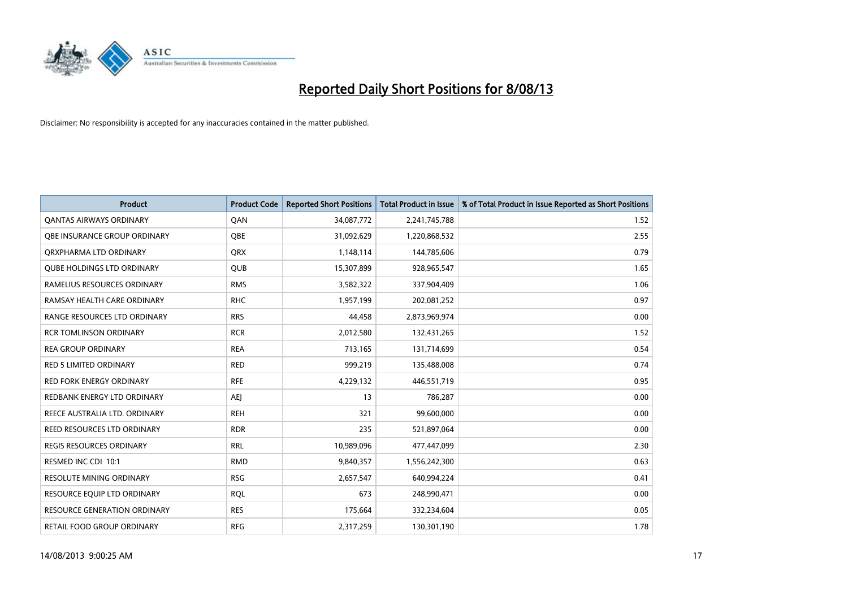

| <b>Product</b>                      | <b>Product Code</b> | <b>Reported Short Positions</b> | <b>Total Product in Issue</b> | % of Total Product in Issue Reported as Short Positions |
|-------------------------------------|---------------------|---------------------------------|-------------------------------|---------------------------------------------------------|
| <b>QANTAS AIRWAYS ORDINARY</b>      | QAN                 | 34,087,772                      | 2,241,745,788                 | 1.52                                                    |
| <b>OBE INSURANCE GROUP ORDINARY</b> | <b>OBE</b>          | 31,092,629                      | 1,220,868,532                 | 2.55                                                    |
| ORXPHARMA LTD ORDINARY              | QRX                 | 1,148,114                       | 144,785,606                   | 0.79                                                    |
| <b>QUBE HOLDINGS LTD ORDINARY</b>   | <b>QUB</b>          | 15,307,899                      | 928,965,547                   | 1.65                                                    |
| RAMELIUS RESOURCES ORDINARY         | <b>RMS</b>          | 3,582,322                       | 337,904,409                   | 1.06                                                    |
| RAMSAY HEALTH CARE ORDINARY         | <b>RHC</b>          | 1,957,199                       | 202,081,252                   | 0.97                                                    |
| RANGE RESOURCES LTD ORDINARY        | <b>RRS</b>          | 44,458                          | 2,873,969,974                 | 0.00                                                    |
| <b>RCR TOMLINSON ORDINARY</b>       | <b>RCR</b>          | 2,012,580                       | 132,431,265                   | 1.52                                                    |
| <b>REA GROUP ORDINARY</b>           | <b>REA</b>          | 713,165                         | 131,714,699                   | 0.54                                                    |
| <b>RED 5 LIMITED ORDINARY</b>       | <b>RED</b>          | 999,219                         | 135,488,008                   | 0.74                                                    |
| <b>RED FORK ENERGY ORDINARY</b>     | <b>RFE</b>          | 4,229,132                       | 446,551,719                   | 0.95                                                    |
| REDBANK ENERGY LTD ORDINARY         | AEJ                 | 13                              | 786,287                       | 0.00                                                    |
| REECE AUSTRALIA LTD. ORDINARY       | <b>REH</b>          | 321                             | 99,600,000                    | 0.00                                                    |
| <b>REED RESOURCES LTD ORDINARY</b>  | <b>RDR</b>          | 235                             | 521,897,064                   | 0.00                                                    |
| <b>REGIS RESOURCES ORDINARY</b>     | <b>RRL</b>          | 10,989,096                      | 477,447,099                   | 2.30                                                    |
| RESMED INC CDI 10:1                 | <b>RMD</b>          | 9,840,357                       | 1,556,242,300                 | 0.63                                                    |
| <b>RESOLUTE MINING ORDINARY</b>     | <b>RSG</b>          | 2,657,547                       | 640,994,224                   | 0.41                                                    |
| RESOURCE EQUIP LTD ORDINARY         | <b>RQL</b>          | 673                             | 248,990,471                   | 0.00                                                    |
| <b>RESOURCE GENERATION ORDINARY</b> | <b>RES</b>          | 175,664                         | 332,234,604                   | 0.05                                                    |
| RETAIL FOOD GROUP ORDINARY          | <b>RFG</b>          | 2,317,259                       | 130,301,190                   | 1.78                                                    |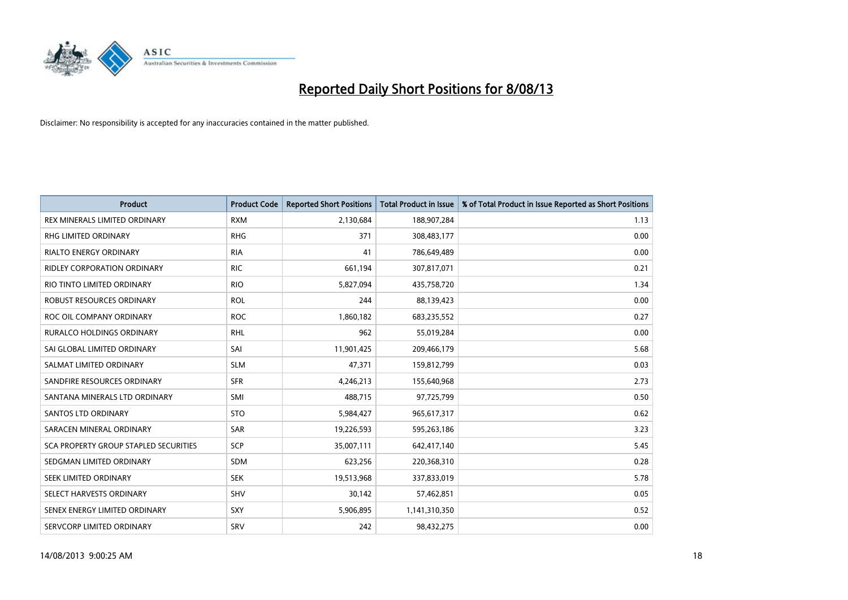

| <b>Product</b>                        | <b>Product Code</b> | <b>Reported Short Positions</b> | <b>Total Product in Issue</b> | % of Total Product in Issue Reported as Short Positions |
|---------------------------------------|---------------------|---------------------------------|-------------------------------|---------------------------------------------------------|
| REX MINERALS LIMITED ORDINARY         | <b>RXM</b>          | 2,130,684                       | 188,907,284                   | 1.13                                                    |
| RHG LIMITED ORDINARY                  | <b>RHG</b>          | 371                             | 308,483,177                   | 0.00                                                    |
| <b>RIALTO ENERGY ORDINARY</b>         | <b>RIA</b>          | 41                              | 786,649,489                   | 0.00                                                    |
| <b>RIDLEY CORPORATION ORDINARY</b>    | <b>RIC</b>          | 661,194                         | 307,817,071                   | 0.21                                                    |
| RIO TINTO LIMITED ORDINARY            | <b>RIO</b>          | 5,827,094                       | 435,758,720                   | 1.34                                                    |
| ROBUST RESOURCES ORDINARY             | <b>ROL</b>          | 244                             | 88,139,423                    | 0.00                                                    |
| ROC OIL COMPANY ORDINARY              | <b>ROC</b>          | 1,860,182                       | 683,235,552                   | 0.27                                                    |
| RURALCO HOLDINGS ORDINARY             | <b>RHL</b>          | 962                             | 55,019,284                    | 0.00                                                    |
| SAI GLOBAL LIMITED ORDINARY           | SAI                 | 11,901,425                      | 209,466,179                   | 5.68                                                    |
| SALMAT LIMITED ORDINARY               | <b>SLM</b>          | 47,371                          | 159,812,799                   | 0.03                                                    |
| SANDFIRE RESOURCES ORDINARY           | <b>SFR</b>          | 4,246,213                       | 155,640,968                   | 2.73                                                    |
| SANTANA MINERALS LTD ORDINARY         | SMI                 | 488,715                         | 97,725,799                    | 0.50                                                    |
| <b>SANTOS LTD ORDINARY</b>            | <b>STO</b>          | 5,984,427                       | 965,617,317                   | 0.62                                                    |
| SARACEN MINERAL ORDINARY              | SAR                 | 19,226,593                      | 595,263,186                   | 3.23                                                    |
| SCA PROPERTY GROUP STAPLED SECURITIES | SCP                 | 35,007,111                      | 642,417,140                   | 5.45                                                    |
| SEDGMAN LIMITED ORDINARY              | SDM                 | 623,256                         | 220,368,310                   | 0.28                                                    |
| SEEK LIMITED ORDINARY                 | <b>SEK</b>          | 19,513,968                      | 337,833,019                   | 5.78                                                    |
| SELECT HARVESTS ORDINARY              | SHV                 | 30,142                          | 57,462,851                    | 0.05                                                    |
| SENEX ENERGY LIMITED ORDINARY         | <b>SXY</b>          | 5,906,895                       | 1,141,310,350                 | 0.52                                                    |
| SERVCORP LIMITED ORDINARY             | SRV                 | 242                             | 98,432,275                    | 0.00                                                    |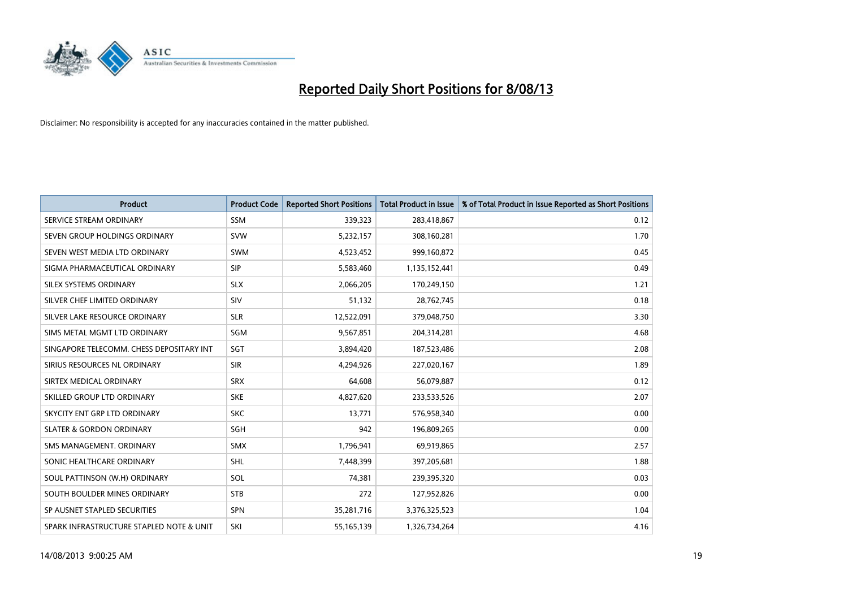

| <b>Product</b>                           | <b>Product Code</b> | <b>Reported Short Positions</b> | <b>Total Product in Issue</b> | % of Total Product in Issue Reported as Short Positions |
|------------------------------------------|---------------------|---------------------------------|-------------------------------|---------------------------------------------------------|
| SERVICE STREAM ORDINARY                  | <b>SSM</b>          | 339,323                         | 283,418,867                   | 0.12                                                    |
| SEVEN GROUP HOLDINGS ORDINARY            | <b>SVW</b>          | 5,232,157                       | 308,160,281                   | 1.70                                                    |
| SEVEN WEST MEDIA LTD ORDINARY            | <b>SWM</b>          | 4,523,452                       | 999,160,872                   | 0.45                                                    |
| SIGMA PHARMACEUTICAL ORDINARY            | <b>SIP</b>          | 5,583,460                       | 1,135,152,441                 | 0.49                                                    |
| SILEX SYSTEMS ORDINARY                   | <b>SLX</b>          | 2,066,205                       | 170,249,150                   | 1.21                                                    |
| SILVER CHEF LIMITED ORDINARY             | SIV                 | 51,132                          | 28,762,745                    | 0.18                                                    |
| SILVER LAKE RESOURCE ORDINARY            | <b>SLR</b>          | 12,522,091                      | 379,048,750                   | 3.30                                                    |
| SIMS METAL MGMT LTD ORDINARY             | SGM                 | 9,567,851                       | 204,314,281                   | 4.68                                                    |
| SINGAPORE TELECOMM. CHESS DEPOSITARY INT | SGT                 | 3,894,420                       | 187,523,486                   | 2.08                                                    |
| SIRIUS RESOURCES NL ORDINARY             | <b>SIR</b>          | 4,294,926                       | 227,020,167                   | 1.89                                                    |
| SIRTEX MEDICAL ORDINARY                  | <b>SRX</b>          | 64,608                          | 56,079,887                    | 0.12                                                    |
| SKILLED GROUP LTD ORDINARY               | <b>SKE</b>          | 4,827,620                       | 233,533,526                   | 2.07                                                    |
| SKYCITY ENT GRP LTD ORDINARY             | <b>SKC</b>          | 13,771                          | 576,958,340                   | 0.00                                                    |
| <b>SLATER &amp; GORDON ORDINARY</b>      | <b>SGH</b>          | 942                             | 196,809,265                   | 0.00                                                    |
| SMS MANAGEMENT, ORDINARY                 | <b>SMX</b>          | 1,796,941                       | 69,919,865                    | 2.57                                                    |
| SONIC HEALTHCARE ORDINARY                | <b>SHL</b>          | 7,448,399                       | 397,205,681                   | 1.88                                                    |
| SOUL PATTINSON (W.H) ORDINARY            | SOL                 | 74,381                          | 239,395,320                   | 0.03                                                    |
| SOUTH BOULDER MINES ORDINARY             | <b>STB</b>          | 272                             | 127,952,826                   | 0.00                                                    |
| SP AUSNET STAPLED SECURITIES             | SPN                 | 35,281,716                      | 3,376,325,523                 | 1.04                                                    |
| SPARK INFRASTRUCTURE STAPLED NOTE & UNIT | SKI                 | 55, 165, 139                    | 1,326,734,264                 | 4.16                                                    |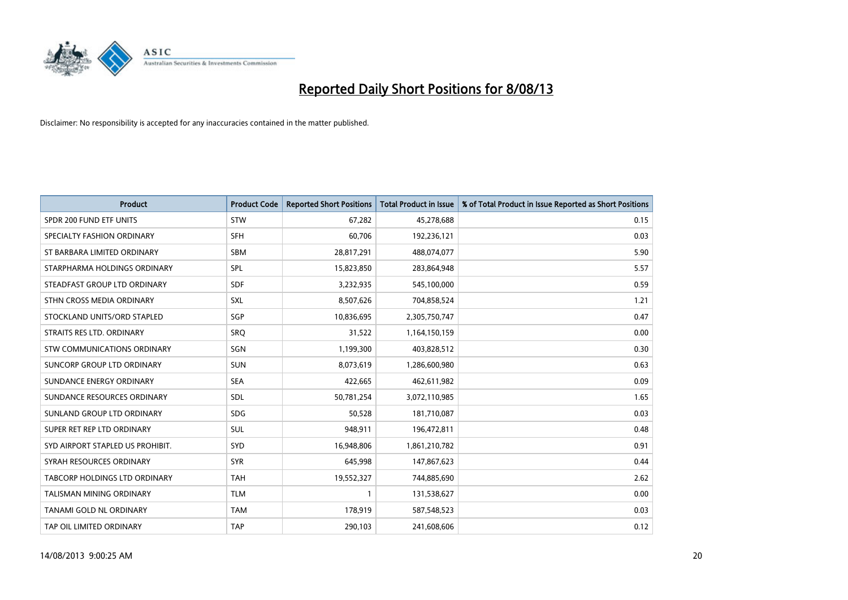

| <b>Product</b>                       | <b>Product Code</b> | <b>Reported Short Positions</b> | <b>Total Product in Issue</b> | % of Total Product in Issue Reported as Short Positions |
|--------------------------------------|---------------------|---------------------------------|-------------------------------|---------------------------------------------------------|
| SPDR 200 FUND ETF UNITS              | <b>STW</b>          | 67,282                          | 45,278,688                    | 0.15                                                    |
| SPECIALTY FASHION ORDINARY           | <b>SFH</b>          | 60,706                          | 192,236,121                   | 0.03                                                    |
| ST BARBARA LIMITED ORDINARY          | <b>SBM</b>          | 28,817,291                      | 488,074,077                   | 5.90                                                    |
| STARPHARMA HOLDINGS ORDINARY         | <b>SPL</b>          | 15,823,850                      | 283,864,948                   | 5.57                                                    |
| STEADFAST GROUP LTD ORDINARY         | <b>SDF</b>          | 3,232,935                       | 545,100,000                   | 0.59                                                    |
| STHN CROSS MEDIA ORDINARY            | SXL                 | 8,507,626                       | 704,858,524                   | 1.21                                                    |
| STOCKLAND UNITS/ORD STAPLED          | SGP                 | 10,836,695                      | 2,305,750,747                 | 0.47                                                    |
| STRAITS RES LTD. ORDINARY            | SRQ                 | 31,522                          | 1,164,150,159                 | 0.00                                                    |
| STW COMMUNICATIONS ORDINARY          | SGN                 | 1,199,300                       | 403,828,512                   | 0.30                                                    |
| SUNCORP GROUP LTD ORDINARY           | <b>SUN</b>          | 8,073,619                       | 1,286,600,980                 | 0.63                                                    |
| SUNDANCE ENERGY ORDINARY             | <b>SEA</b>          | 422,665                         | 462,611,982                   | 0.09                                                    |
| SUNDANCE RESOURCES ORDINARY          | <b>SDL</b>          | 50,781,254                      | 3,072,110,985                 | 1.65                                                    |
| SUNLAND GROUP LTD ORDINARY           | <b>SDG</b>          | 50,528                          | 181,710,087                   | 0.03                                                    |
| SUPER RET REP LTD ORDINARY           | SUL                 | 948,911                         | 196,472,811                   | 0.48                                                    |
| SYD AIRPORT STAPLED US PROHIBIT.     | <b>SYD</b>          | 16,948,806                      | 1,861,210,782                 | 0.91                                                    |
| SYRAH RESOURCES ORDINARY             | <b>SYR</b>          | 645,998                         | 147,867,623                   | 0.44                                                    |
| <b>TABCORP HOLDINGS LTD ORDINARY</b> | <b>TAH</b>          | 19,552,327                      | 744,885,690                   | 2.62                                                    |
| TALISMAN MINING ORDINARY             | <b>TLM</b>          | 1                               | 131,538,627                   | 0.00                                                    |
| TANAMI GOLD NL ORDINARY              | <b>TAM</b>          | 178,919                         | 587,548,523                   | 0.03                                                    |
| TAP OIL LIMITED ORDINARY             | <b>TAP</b>          | 290,103                         | 241,608,606                   | 0.12                                                    |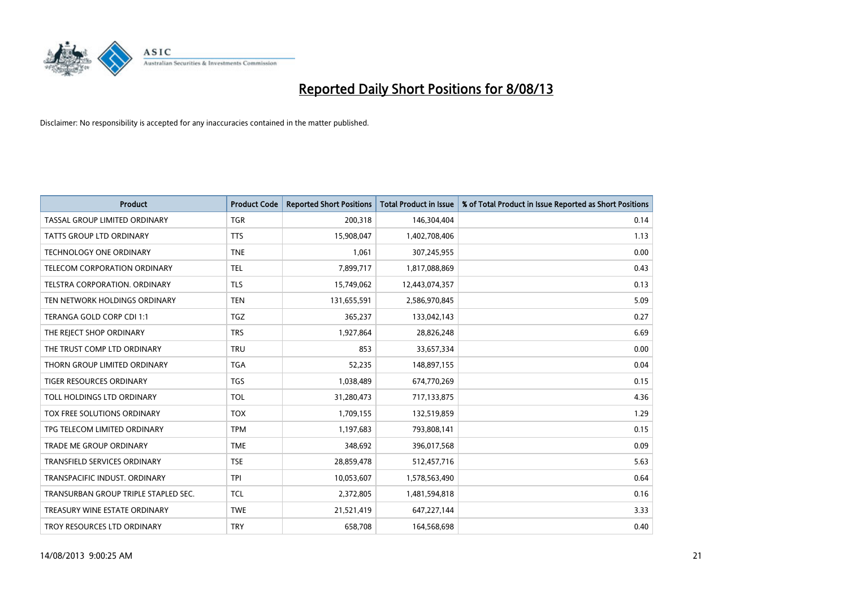

| <b>Product</b>                       | <b>Product Code</b> | <b>Reported Short Positions</b> | <b>Total Product in Issue</b> | % of Total Product in Issue Reported as Short Positions |
|--------------------------------------|---------------------|---------------------------------|-------------------------------|---------------------------------------------------------|
| TASSAL GROUP LIMITED ORDINARY        | <b>TGR</b>          | 200,318                         | 146,304,404                   | 0.14                                                    |
| TATTS GROUP LTD ORDINARY             | <b>TTS</b>          | 15,908,047                      | 1,402,708,406                 | 1.13                                                    |
| TECHNOLOGY ONE ORDINARY              | <b>TNE</b>          | 1,061                           | 307,245,955                   | 0.00                                                    |
| TELECOM CORPORATION ORDINARY         | <b>TEL</b>          | 7,899,717                       | 1,817,088,869                 | 0.43                                                    |
| TELSTRA CORPORATION, ORDINARY        | <b>TLS</b>          | 15,749,062                      | 12,443,074,357                | 0.13                                                    |
| TEN NETWORK HOLDINGS ORDINARY        | <b>TEN</b>          | 131,655,591                     | 2,586,970,845                 | 5.09                                                    |
| TERANGA GOLD CORP CDI 1:1            | <b>TGZ</b>          | 365,237                         | 133,042,143                   | 0.27                                                    |
| THE REJECT SHOP ORDINARY             | <b>TRS</b>          | 1,927,864                       | 28,826,248                    | 6.69                                                    |
| THE TRUST COMP LTD ORDINARY          | <b>TRU</b>          | 853                             | 33,657,334                    | 0.00                                                    |
| THORN GROUP LIMITED ORDINARY         | <b>TGA</b>          | 52,235                          | 148,897,155                   | 0.04                                                    |
| TIGER RESOURCES ORDINARY             | <b>TGS</b>          | 1,038,489                       | 674,770,269                   | 0.15                                                    |
| TOLL HOLDINGS LTD ORDINARY           | <b>TOL</b>          | 31,280,473                      | 717,133,875                   | 4.36                                                    |
| <b>TOX FREE SOLUTIONS ORDINARY</b>   | <b>TOX</b>          | 1,709,155                       | 132,519,859                   | 1.29                                                    |
| TPG TELECOM LIMITED ORDINARY         | <b>TPM</b>          | 1,197,683                       | 793,808,141                   | 0.15                                                    |
| <b>TRADE ME GROUP ORDINARY</b>       | <b>TME</b>          | 348,692                         | 396,017,568                   | 0.09                                                    |
| TRANSFIELD SERVICES ORDINARY         | <b>TSE</b>          | 28,859,478                      | 512,457,716                   | 5.63                                                    |
| TRANSPACIFIC INDUST. ORDINARY        | <b>TPI</b>          | 10,053,607                      | 1,578,563,490                 | 0.64                                                    |
| TRANSURBAN GROUP TRIPLE STAPLED SEC. | <b>TCL</b>          | 2,372,805                       | 1,481,594,818                 | 0.16                                                    |
| TREASURY WINE ESTATE ORDINARY        | <b>TWE</b>          | 21,521,419                      | 647,227,144                   | 3.33                                                    |
| TROY RESOURCES LTD ORDINARY          | <b>TRY</b>          | 658,708                         | 164,568,698                   | 0.40                                                    |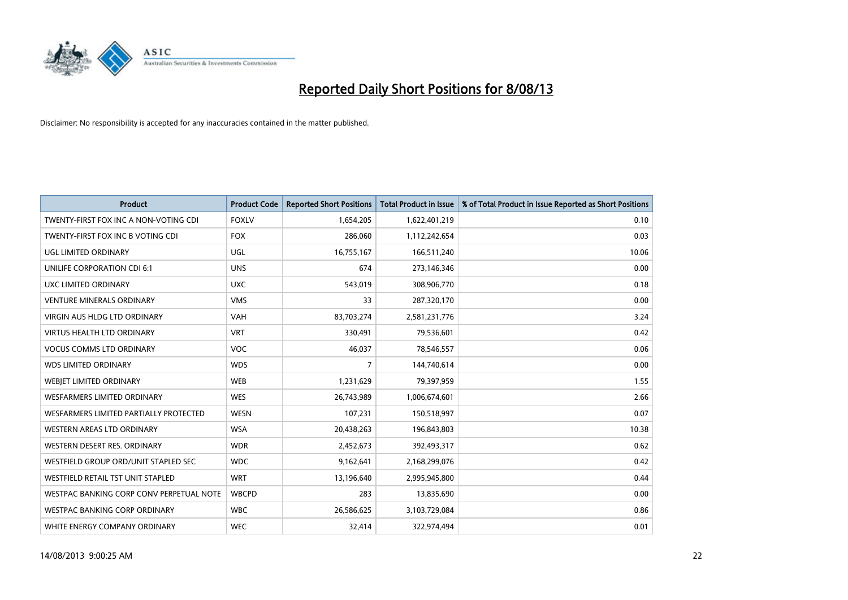

| <b>Product</b>                           | <b>Product Code</b> | <b>Reported Short Positions</b> | <b>Total Product in Issue</b> | % of Total Product in Issue Reported as Short Positions |
|------------------------------------------|---------------------|---------------------------------|-------------------------------|---------------------------------------------------------|
| TWENTY-FIRST FOX INC A NON-VOTING CDI    | <b>FOXLV</b>        | 1,654,205                       | 1,622,401,219                 | 0.10                                                    |
| TWENTY-FIRST FOX INC B VOTING CDI        | <b>FOX</b>          | 286,060                         | 1,112,242,654                 | 0.03                                                    |
| UGL LIMITED ORDINARY                     | <b>UGL</b>          | 16,755,167                      | 166,511,240                   | 10.06                                                   |
| UNILIFE CORPORATION CDI 6:1              | <b>UNS</b>          | 674                             | 273,146,346                   | 0.00                                                    |
| UXC LIMITED ORDINARY                     | <b>UXC</b>          | 543,019                         | 308,906,770                   | 0.18                                                    |
| <b>VENTURE MINERALS ORDINARY</b>         | <b>VMS</b>          | 33                              | 287,320,170                   | 0.00                                                    |
| VIRGIN AUS HLDG LTD ORDINARY             | <b>VAH</b>          | 83,703,274                      | 2,581,231,776                 | 3.24                                                    |
| <b>VIRTUS HEALTH LTD ORDINARY</b>        | <b>VRT</b>          | 330,491                         | 79,536,601                    | 0.42                                                    |
| <b>VOCUS COMMS LTD ORDINARY</b>          | <b>VOC</b>          | 46,037                          | 78,546,557                    | 0.06                                                    |
| <b>WDS LIMITED ORDINARY</b>              | <b>WDS</b>          | 7                               | 144,740,614                   | 0.00                                                    |
| WEBJET LIMITED ORDINARY                  | <b>WEB</b>          | 1,231,629                       | 79,397,959                    | 1.55                                                    |
| <b>WESFARMERS LIMITED ORDINARY</b>       | <b>WES</b>          | 26,743,989                      | 1,006,674,601                 | 2.66                                                    |
| WESFARMERS LIMITED PARTIALLY PROTECTED   | <b>WESN</b>         | 107,231                         | 150,518,997                   | 0.07                                                    |
| WESTERN AREAS LTD ORDINARY               | <b>WSA</b>          | 20,438,263                      | 196,843,803                   | 10.38                                                   |
| WESTERN DESERT RES. ORDINARY             | <b>WDR</b>          | 2,452,673                       | 392,493,317                   | 0.62                                                    |
| WESTFIELD GROUP ORD/UNIT STAPLED SEC     | <b>WDC</b>          | 9,162,641                       | 2,168,299,076                 | 0.42                                                    |
| WESTFIELD RETAIL TST UNIT STAPLED        | <b>WRT</b>          | 13,196,640                      | 2,995,945,800                 | 0.44                                                    |
| WESTPAC BANKING CORP CONV PERPETUAL NOTE | <b>WBCPD</b>        | 283                             | 13,835,690                    | 0.00                                                    |
| <b>WESTPAC BANKING CORP ORDINARY</b>     | <b>WBC</b>          | 26,586,625                      | 3,103,729,084                 | 0.86                                                    |
| WHITE ENERGY COMPANY ORDINARY            | <b>WEC</b>          | 32,414                          | 322,974,494                   | 0.01                                                    |